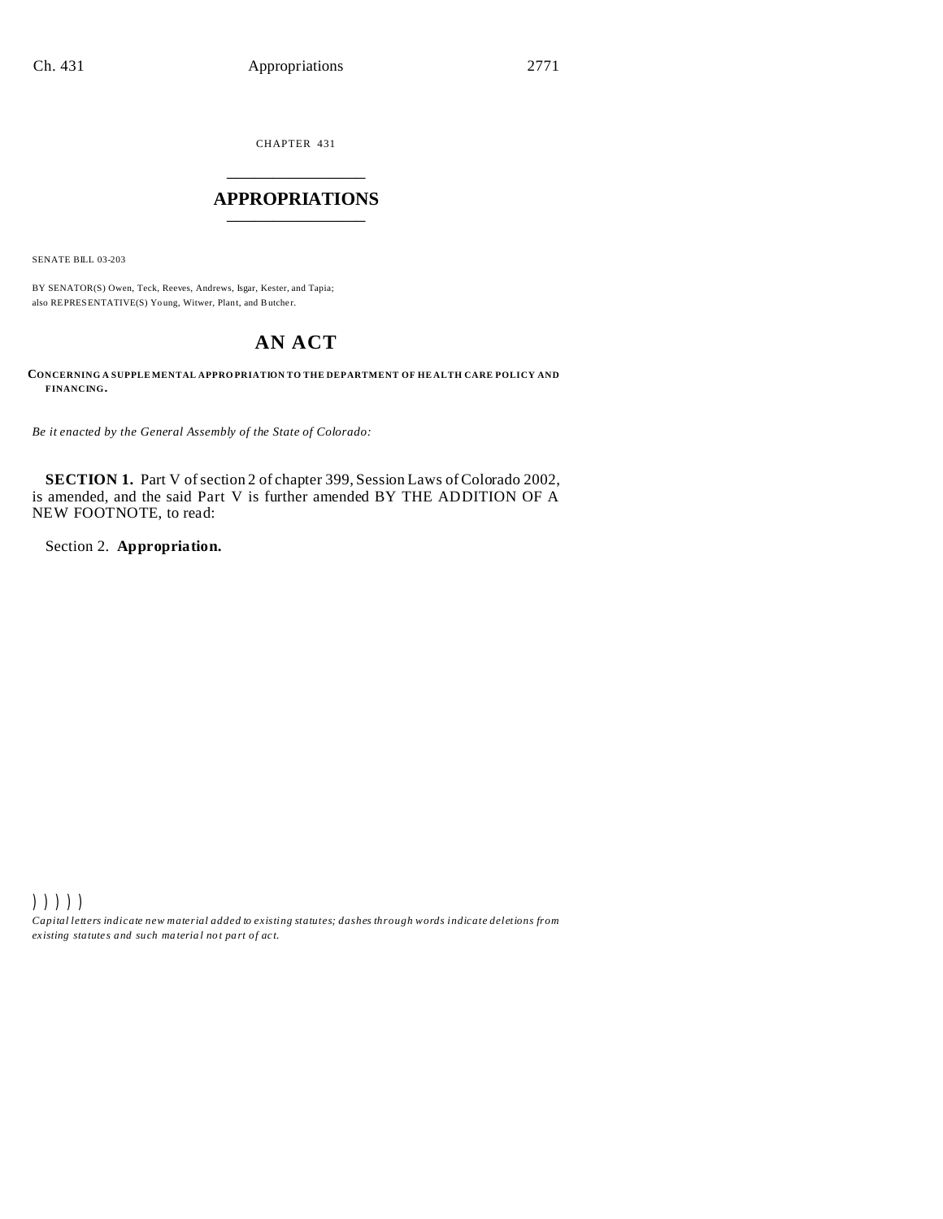CHAPTER 431 \_\_\_\_\_\_\_\_\_\_\_\_\_\_\_

## **APPROPRIATIONS** \_\_\_\_\_\_\_\_\_\_\_\_\_\_\_

SENATE BILL 03-203

BY SENATOR(S) Owen, Teck, Reeves, Andrews, Isgar, Kester, and Tapia; also REPRESENTATIVE(S) Young, Witwer, Plant, and Butcher.

# **AN ACT**

**CONCERNING A SUPPLE MENTAL APPRO PRIATION TO THE DEPARTMENT OF HE ALTH CARE POLICY AND FINANCING.**

*Be it enacted by the General Assembly of the State of Colorado:*

**SECTION 1.** Part V of section 2 of chapter 399, Session Laws of Colorado 2002, is amended, and the said Part V is further amended BY THE ADDITION OF A NEW FOOTNOTE, to read:

Section 2. **Appropriation.**

))))) *Capital letters indicate new material added to existing statutes; dashes through words indicate deletions from ex isting statute s and such ma teria l no t pa rt of ac t.*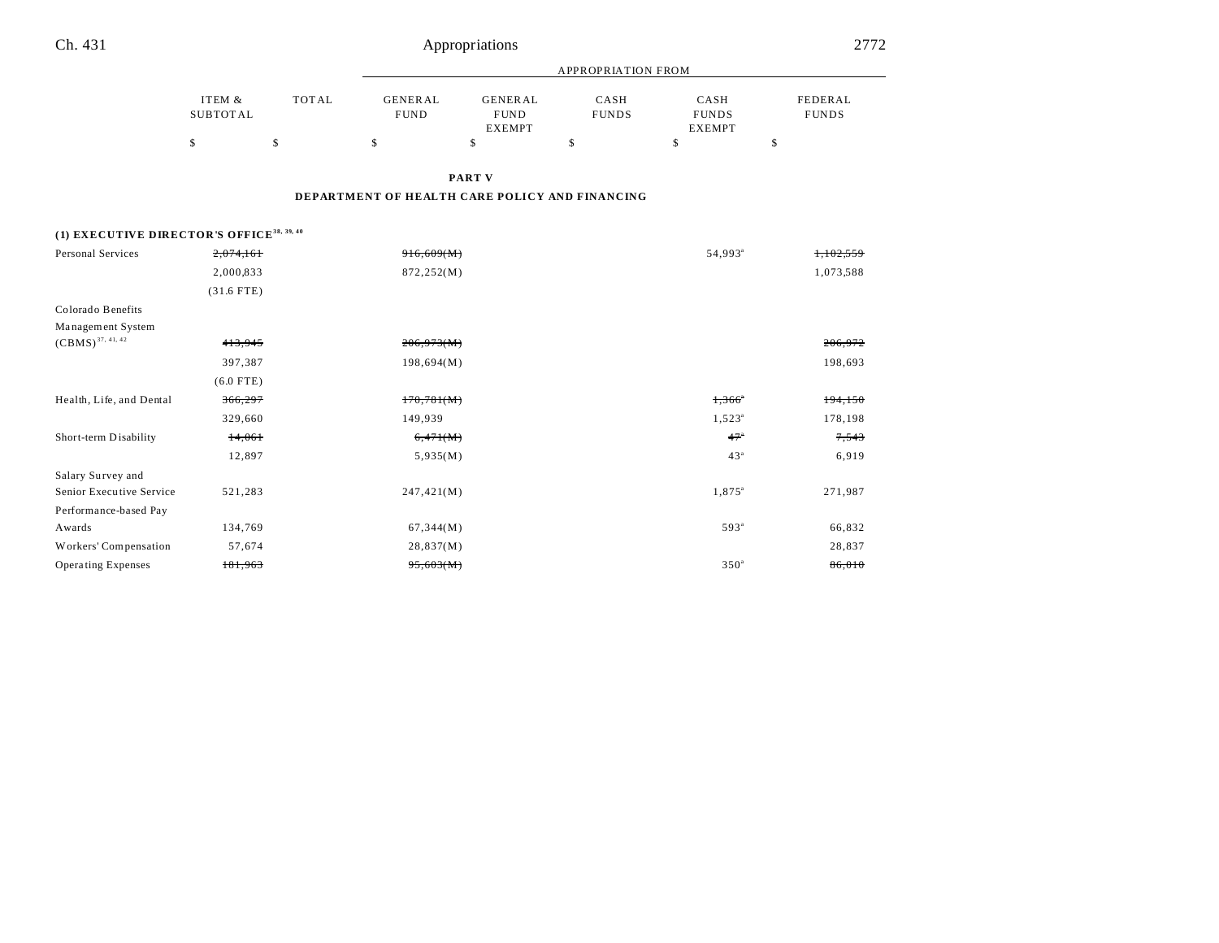| Ch. 431                                               |                           |              |                                                | Appropriations                                 |                           |                                       |                         | 2772    |
|-------------------------------------------------------|---------------------------|--------------|------------------------------------------------|------------------------------------------------|---------------------------|---------------------------------------|-------------------------|---------|
|                                                       |                           |              |                                                |                                                | <b>APPROPRIATION FROM</b> |                                       |                         |         |
|                                                       | ITEM &<br><b>SUBTOTAL</b> | <b>TOTAL</b> | <b>GENERAL</b><br><b>FUND</b>                  | <b>GENERAL</b><br><b>FUND</b><br><b>EXEMPT</b> | CASH<br><b>FUNDS</b>      | CASH<br><b>FUNDS</b><br><b>EXEMPT</b> | FEDERAL<br><b>FUNDS</b> |         |
|                                                       | \$                        | \$           | \$                                             | \$                                             | \$                        | \$                                    | \$                      |         |
|                                                       |                           |              |                                                | <b>PART V</b>                                  |                           |                                       |                         |         |
|                                                       |                           |              | DEPARTMENT OF HEALTH CARE POLICY AND FINANCING |                                                |                           |                                       |                         |         |
| (1) EXECUTIVE DIRECTOR'S OFFICE <sup>38, 39, 40</sup> |                           |              |                                                |                                                |                           |                                       |                         |         |
| <b>Personal Services</b>                              | 2,074,161                 |              | 916,609(M)                                     |                                                |                           | 54,993 <sup>a</sup>                   | 1.102.559               |         |
|                                                       | 2,000,833                 |              | 872,252(M)                                     |                                                |                           |                                       | 1,073,588               |         |
|                                                       | $(31.6$ FTE)              |              |                                                |                                                |                           |                                       |                         |         |
| Colorado Benefits                                     |                           |              |                                                |                                                |                           |                                       |                         |         |
| Management System                                     |                           |              |                                                |                                                |                           |                                       |                         |         |
| $(CBMS)^{37, 41, 42}$                                 | 413,945                   |              | 206,973(M)                                     |                                                |                           |                                       | 206,972                 |         |
|                                                       | 397,387                   |              | 198,694(M)                                     |                                                |                           |                                       |                         | 198,693 |
|                                                       | $(6.0$ FTE)               |              |                                                |                                                |                           |                                       |                         |         |
| Health, Life, and Dental                              | 366,297                   |              | 170,781(M)                                     |                                                |                           | $1,366$ <sup>*</sup>                  |                         | 194,150 |
|                                                       | 329,660                   |              | 149,939                                        |                                                |                           | $1,523^{\circ}$                       | 178,198                 |         |
| Short-term Disability                                 | 14,061                    |              | 6,471(M)                                       |                                                |                           | 47°                                   |                         | 7,543   |
|                                                       | 12,897                    |              | 5,935(M)                                       |                                                |                           | 43 <sup>a</sup>                       |                         | 6,919   |
| Salary Survey and                                     |                           |              |                                                |                                                |                           |                                       |                         |         |
| Senior Executive Service                              | 521,283                   |              | 247,421(M)                                     |                                                |                           | 1,875 <sup>a</sup>                    | 271,987                 |         |
| Performance-based Pay                                 |                           |              |                                                |                                                |                           |                                       |                         |         |
| Awards                                                | 134,769                   |              | 67,344(M)                                      |                                                |                           | 593 <sup>a</sup>                      |                         | 66,832  |
| Workers' Compensation                                 | 57,674                    |              | 28,837(M)                                      |                                                |                           |                                       |                         | 28,837  |
| <b>Operating Expenses</b>                             | 181,963                   |              | 95,603(M)                                      |                                                |                           | 350 <sup>a</sup>                      |                         | 86,010  |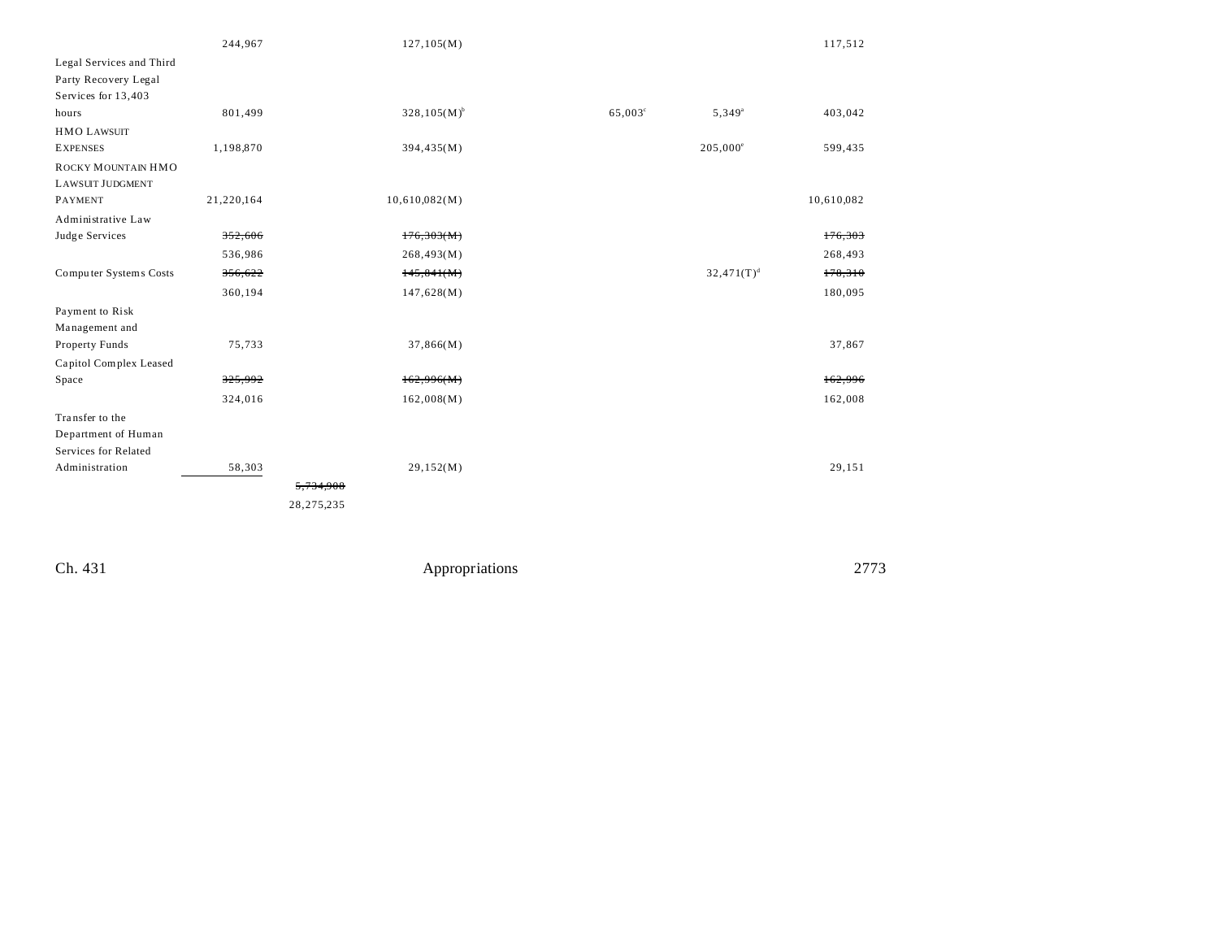|                          | 244,967    |              | 127, 105(M)      |                  |                   | 117,512    |
|--------------------------|------------|--------------|------------------|------------------|-------------------|------------|
| Legal Services and Third |            |              |                  |                  |                   |            |
| Party Recovery Legal     |            |              |                  |                  |                   |            |
| Services for 13,403      |            |              |                  |                  |                   |            |
| hours                    | 801,499    |              | $328,105(M)^{b}$ | $65,003^{\circ}$ | $5,349^{\circ}$   | 403,042    |
| <b>HMO LAWSUIT</b>       |            |              |                  |                  |                   |            |
| <b>EXPENSES</b>          | 1,198,870  |              | 394,435(M)       |                  | $205,000^{\circ}$ | 599,435    |
| ROCKY MOUNTAIN HMO       |            |              |                  |                  |                   |            |
| <b>LAWSUIT JUDGMENT</b>  |            |              |                  |                  |                   |            |
| PAYMENT                  | 21,220,164 |              | 10,610,082(M)    |                  |                   | 10,610,082 |
| Administrative Law       |            |              |                  |                  |                   |            |
| Judge Services           | 352,606    |              | 176,303(M)       |                  |                   | 176,303    |
|                          | 536,986    |              | 268,493(M)       |                  |                   | 268,493    |
| Computer Systems Costs   | 356,622    |              | 145,841(M)       |                  | $32,471(T)^d$     | 178,310    |
|                          | 360,194    |              | 147,628(M)       |                  |                   | 180,095    |
| Payment to Risk          |            |              |                  |                  |                   |            |
| Management and           |            |              |                  |                  |                   |            |
| Property Funds           | 75,733     |              | 37,866(M)        |                  |                   | 37,867     |
| Capitol Complex Leased   |            |              |                  |                  |                   |            |
| Space                    | 325,992    |              | 162,996(M)       |                  |                   | 162,996    |
|                          | 324,016    |              | 162,008(M)       |                  |                   | 162,008    |
| Transfer to the          |            |              |                  |                  |                   |            |
| Department of Human      |            |              |                  |                  |                   |            |
| Services for Related     |            |              |                  |                  |                   |            |
| Administration           | 58,303     |              | 29,152(M)        |                  |                   | 29,151     |
|                          |            | 5,734,908    |                  |                  |                   |            |
|                          |            | 28, 275, 235 |                  |                  |                   |            |
|                          |            |              |                  |                  |                   |            |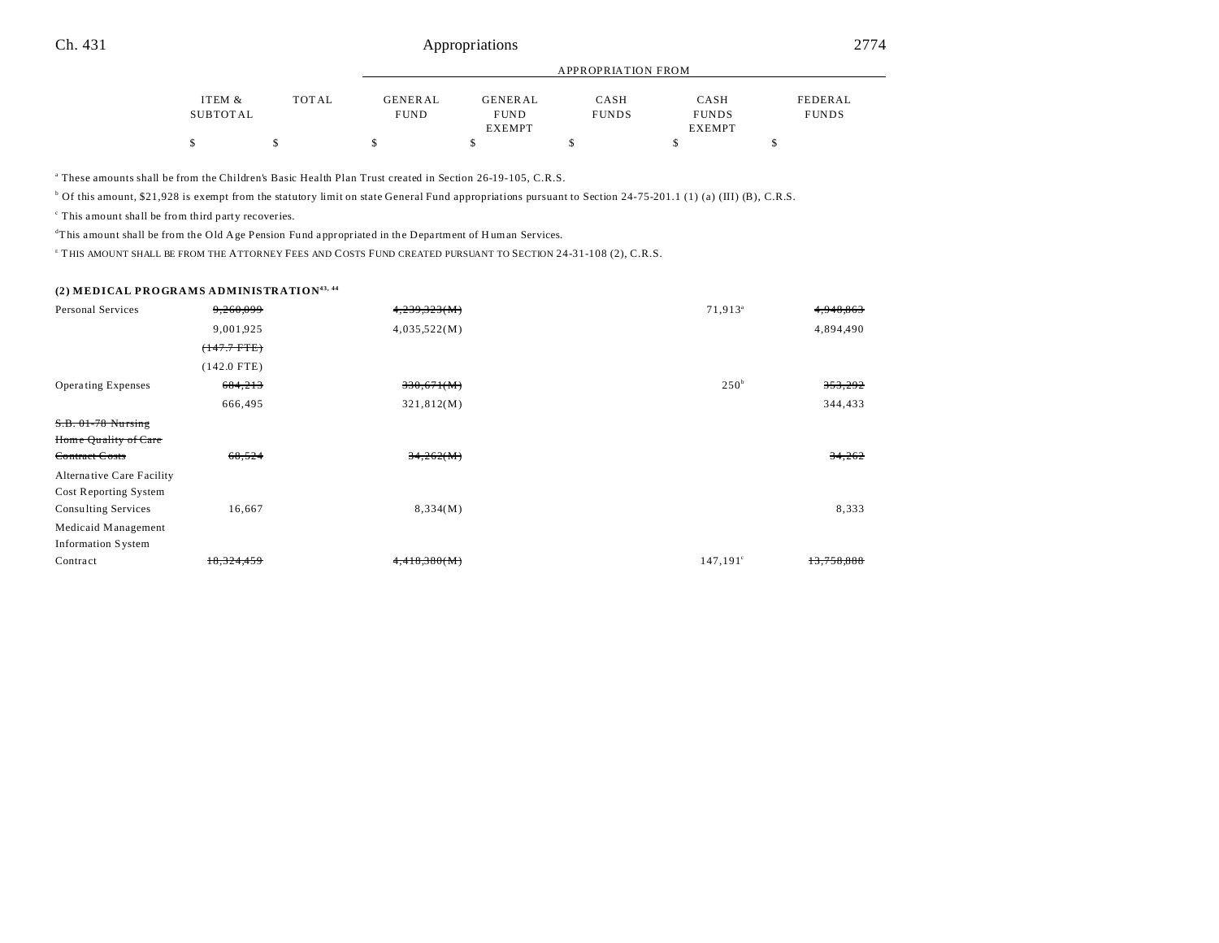|          | APPROPRIATION FROM |                |               |              |               |              |
|----------|--------------------|----------------|---------------|--------------|---------------|--------------|
|          |                    |                |               |              |               |              |
| ITEM &   | <b>TOTAL</b>       | <b>GENERAL</b> | GENERAL       | CASH         | CASH          | FEDERAL      |
| SUBTOTAL |                    | <b>FUND</b>    | <b>FUND</b>   | <b>FUNDS</b> | <b>FUNDS</b>  | <b>FUNDS</b> |
|          |                    |                | <b>EXEMPT</b> |              | <b>EXEMPT</b> |              |
|          |                    |                |               |              |               |              |

a These amounts shall be from the Children's Basic Health Plan Trust created in Section 26-19-105, C.R.S.

 $\alpha$  Of this amount, \$21,928 is exempt from the statutory limit on state General Fund appropriations pursuant to Section 24-75-201.1 (1) (a) (III) (B), C.R.S.

c This amount shall be from third party recoveries.

<sup>d</sup>This amount shall be from the Old Age Pension Fund appropriated in the Department of Human Services.

<sup>E</sup> THIS AMOUNT SHALL BE FROM THE ATTORNEY FEES AND COSTS FUND CREATED PURSUANT TO SECTION 24-31-108 (2), C.R.S.

### **(2) MEDICAL PROGRAMS ADMINISTRATION43, 44**

| <b>Personal Services</b>  | 9.260.099     | 4,239,323(M) | 71,913 <sup>a</sup> | 4,948,863  |
|---------------------------|---------------|--------------|---------------------|------------|
|                           | 9,001,925     | 4,035,522(M) |                     | 4,894,490  |
|                           | $(+47.7$ FTE) |              |                     |            |
|                           | $(142.0$ FTE) |              |                     |            |
| <b>Operating Expenses</b> | 684,213       | 330,671(M)   | 250 <sup>b</sup>    | 353,292    |
|                           | 666,495       | 321,812(M)   |                     | 344,433    |
| S.B. 01-78 Nursing        |               |              |                     |            |
| Home Quality of Care      |               |              |                     |            |
| Contract Costs            | 68,524        | 34,262(M)    |                     | 34,262     |
| Alternative Care Facility |               |              |                     |            |
| Cost Reporting System     |               |              |                     |            |
| Consulting Services       | 16,667        | 8,334(M)     |                     | 8,333      |
| Medicaid Management       |               |              |                     |            |
| <b>Information System</b> |               |              |                     |            |
| Contract                  | 18,324,459    | 4,418,380(M) | $147,191^{\circ}$   | 13,758,888 |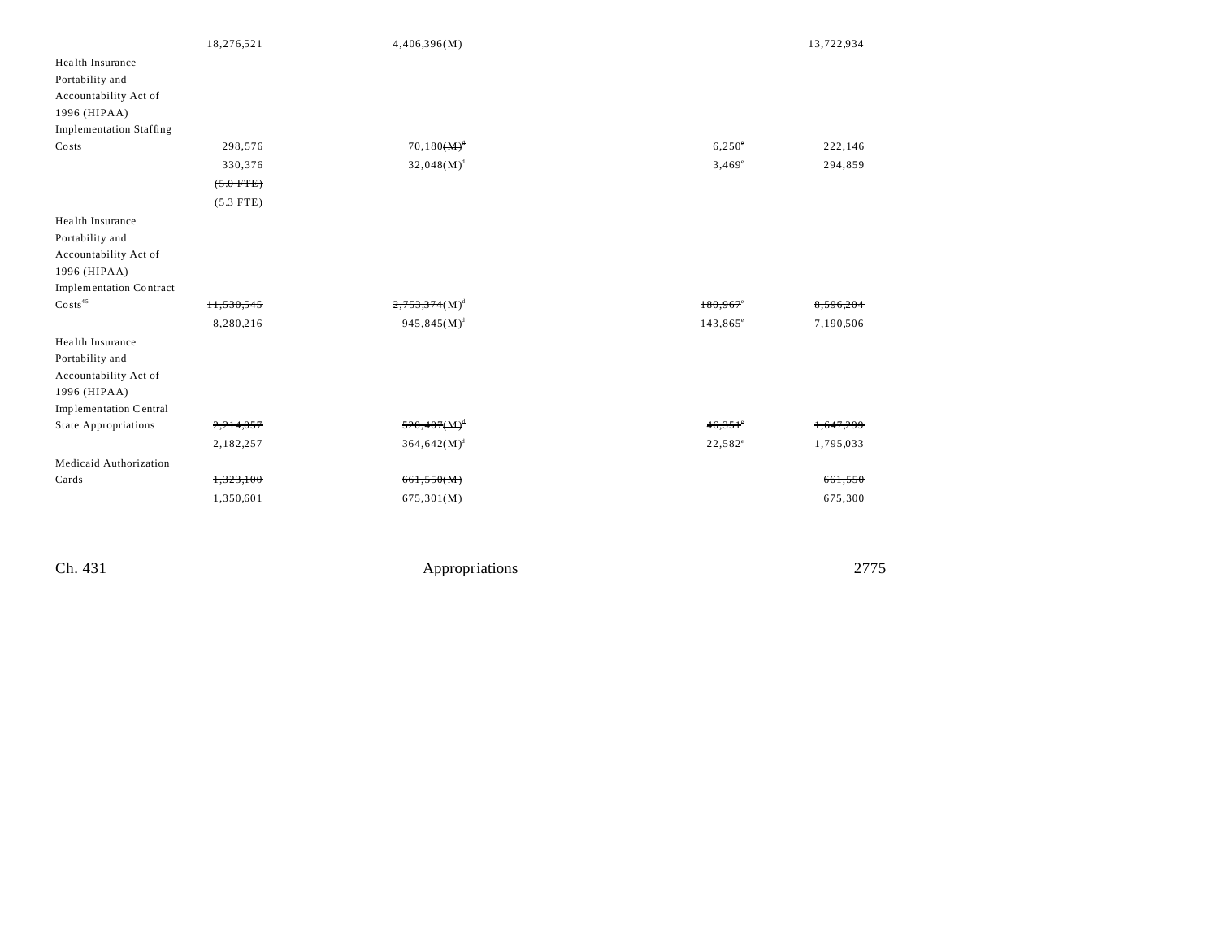|                                | 18,276,521  | 4,406,396(M)     |                   | 13,722,934 |
|--------------------------------|-------------|------------------|-------------------|------------|
| Health Insurance               |             |                  |                   |            |
| Portability and                |             |                  |                   |            |
| Accountability Act of          |             |                  |                   |            |
| 1996 (HIPAA)                   |             |                  |                   |            |
| <b>Implementation Staffing</b> |             |                  |                   |            |
| Costs                          | 298,576     | $70,180(M)^{d}$  | $6,250^{\circ}$   |            |
|                                | 330,376     | $32,048(M)^d$    | $3,469^{\circ}$   | 294,859    |
|                                | $(5.0$ FTE) |                  |                   |            |
|                                | $(5.3$ FTE) |                  |                   |            |
| Health Insurance               |             |                  |                   |            |
| Portability and                |             |                  |                   |            |
| Accountability Act of          |             |                  |                   |            |
| 1996 (HIPAA)                   |             |                  |                   |            |
| <b>Implementation Contract</b> |             |                  |                   |            |
| $\text{Costs}^{45}$            | 11,530,545  | $2,753,374(M)^4$ | 180,967           | 8,596,204  |
|                                | 8,280,216   | $945,845(M)^d$   | $143,865^{\circ}$ | 7,190,506  |
| Health Insurance               |             |                  |                   |            |
| Portability and                |             |                  |                   |            |
| Accountability Act of          |             |                  |                   |            |
| 1996 (HIPAA)                   |             |                  |                   |            |
| Implementation Central         |             |                  |                   |            |
| <b>State Appropriations</b>    | 2,214,057   | $520,407(M)^4$   | $46,351$ °        | 1,647,299  |
|                                | 2,182,257   | $364,642(M)^d$   | $22,582^{\circ}$  | 1,795,033  |
| Medicaid Authorization         |             |                  |                   |            |
| Cards                          | 1,323,100   | 661,550(M)       |                   | 661,550    |
|                                | 1,350,601   | 675,301(M)       |                   | 675,300    |
|                                |             |                  |                   |            |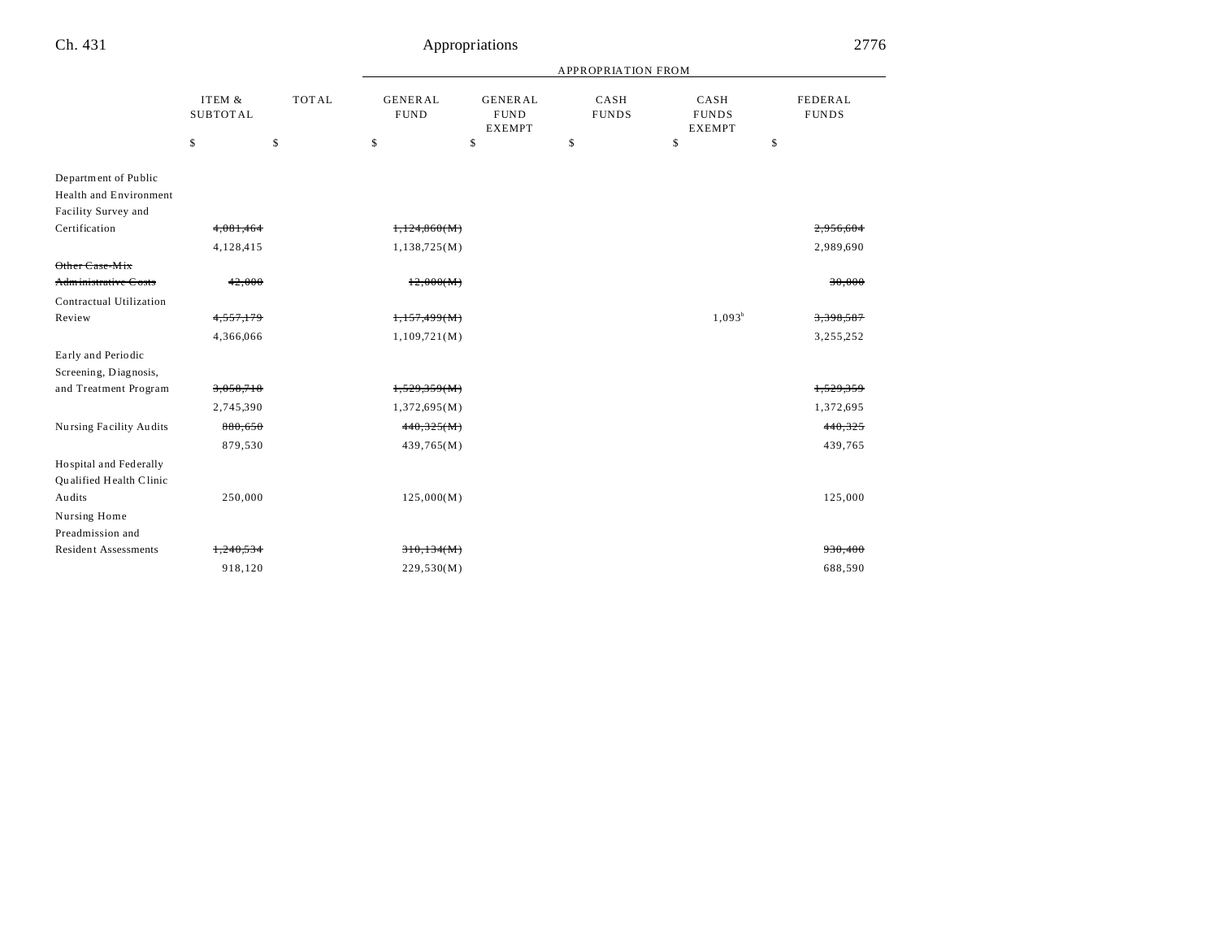| Ch. 431                         |                           |              | 2776                          |                                                |                           |                                       |                         |  |
|---------------------------------|---------------------------|--------------|-------------------------------|------------------------------------------------|---------------------------|---------------------------------------|-------------------------|--|
|                                 |                           |              |                               |                                                | <b>APPROPRIATION FROM</b> |                                       |                         |  |
|                                 | ITEM &<br><b>SUBTOTAL</b> | <b>TOTAL</b> | <b>GENERAL</b><br><b>FUND</b> | <b>GENERAL</b><br><b>FUND</b><br><b>EXEMPT</b> | CASH<br><b>FUNDS</b>      | CASH<br><b>FUNDS</b><br><b>EXEMPT</b> | FEDERAL<br><b>FUNDS</b> |  |
|                                 | \$                        | \$           | \$                            | \$                                             | \$                        | \$                                    | \$                      |  |
| Department of Public            |                           |              |                               |                                                |                           |                                       |                         |  |
| <b>Health and Environment</b>   |                           |              |                               |                                                |                           |                                       |                         |  |
| Facility Survey and             |                           |              |                               |                                                |                           |                                       |                         |  |
| Certification                   | 4,081,464                 |              | 1,124,860(M)                  |                                                |                           |                                       | <del>2.956.604</del>    |  |
|                                 | 4,128,415                 |              | 1,138,725(M)                  |                                                |                           |                                       | 2,989,690               |  |
| <del>Other Case-Mix</del>       |                           |              |                               |                                                |                           |                                       |                         |  |
| <del>Administrative Costs</del> | 42,000                    |              | 12,000(M)                     |                                                |                           |                                       | 30,000                  |  |
| Contractual Utilization         |                           |              |                               |                                                |                           |                                       |                         |  |
| Review                          | 4,557,179                 |              | 1,157,499(M)                  |                                                |                           | $1,093^b$                             | 3,398,587               |  |
|                                 | 4,366,066                 |              | 1,109,721(M)                  |                                                |                           |                                       | 3,255,252               |  |
| Early and Periodic              |                           |              |                               |                                                |                           |                                       |                         |  |
| Screening, Diagnosis,           |                           |              |                               |                                                |                           |                                       |                         |  |
| and Treatment Program           | 3,058,718                 |              | 1,529,359(M)                  |                                                |                           |                                       | 1,529,359               |  |
|                                 | 2,745,390                 |              | 1,372,695(M)                  |                                                |                           |                                       | 1,372,695               |  |
| Nursing Facility Audits         | 880,650                   |              | 440,325(M)                    |                                                |                           |                                       | 440,325                 |  |
|                                 | 879,530                   |              | 439,765(M)                    |                                                |                           |                                       | 439,765                 |  |
| Hospital and Federally          |                           |              |                               |                                                |                           |                                       |                         |  |
| Qualified Health Clinic         |                           |              |                               |                                                |                           |                                       |                         |  |
| Audits                          | 250,000                   |              | 125,000(M)                    |                                                |                           |                                       | 125,000                 |  |
| Nursing Home                    |                           |              |                               |                                                |                           |                                       |                         |  |
| Preadmission and                |                           |              |                               |                                                |                           |                                       |                         |  |
| <b>Resident Assessments</b>     | 1,240,534                 |              | 310,134(M)                    |                                                |                           |                                       | 930,400                 |  |
|                                 | 918,120                   |              | 229,530(M)                    |                                                |                           |                                       | 688,590                 |  |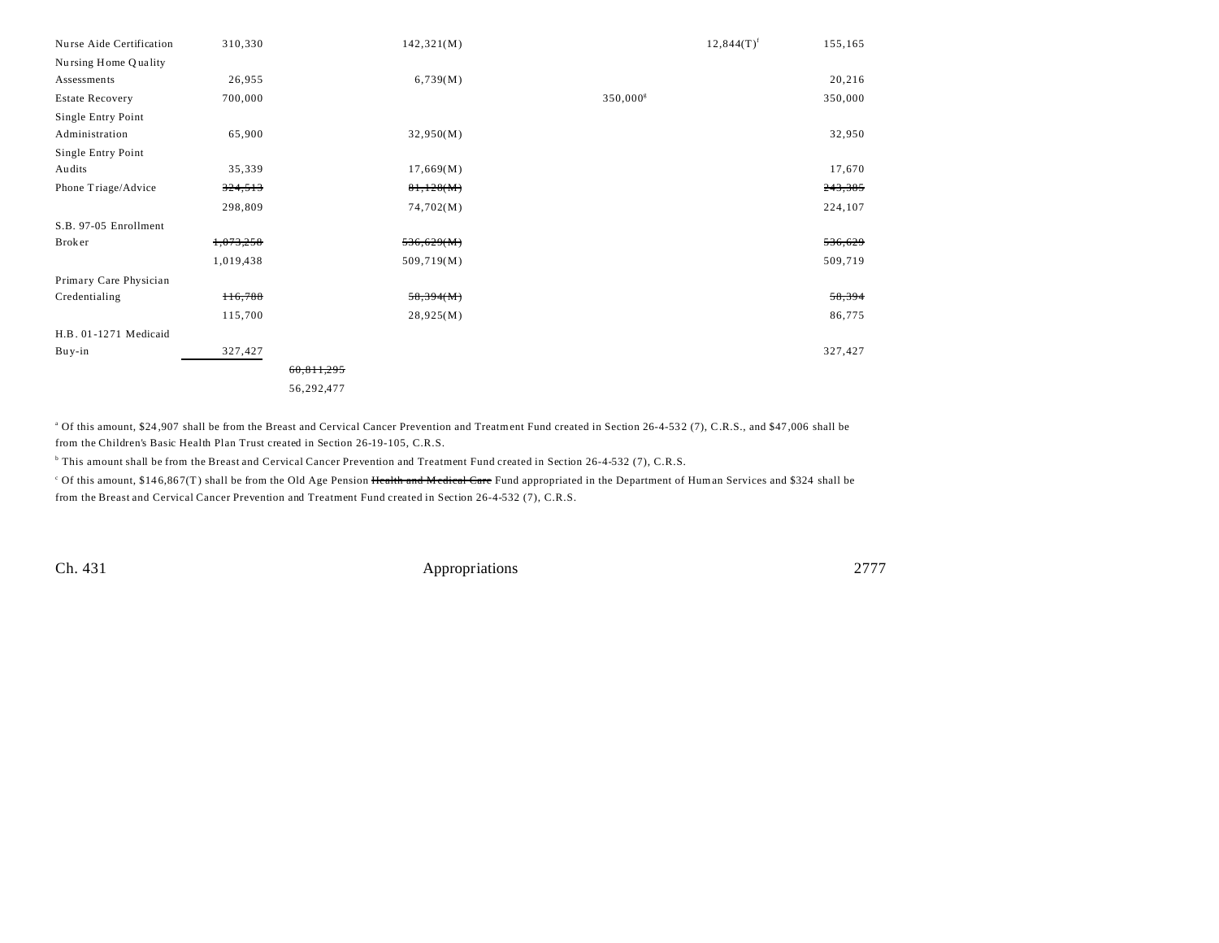| Nurse Aide Certification | 310,330       |            | 142,321(M) |             | $12,844(T)^f$ | 155,165 |
|--------------------------|---------------|------------|------------|-------------|---------------|---------|
| Nursing Home Quality     |               |            |            |             |               |         |
| Assessments              | 26,955        |            | 6,739(M)   |             |               | 20,216  |
| <b>Estate Recovery</b>   | 700,000       |            |            | $350,000^8$ |               | 350,000 |
| Single Entry Point       |               |            |            |             |               |         |
| Administration           | 65,900        |            | 32,950(M)  |             |               | 32,950  |
| Single Entry Point       |               |            |            |             |               |         |
| Audits                   | 35,339        |            | 17,669(M)  |             |               | 17,670  |
| Phone Triage/Advice      | 324,513       |            | 81,128(M)  |             |               | 243,385 |
|                          | 298,809       |            | 74,702(M)  |             |               | 224,107 |
| S.B. 97-05 Enrollment    |               |            |            |             |               |         |
| Broker                   | 1,073,258     |            | 536,629(M) |             |               | 536,629 |
|                          | 1,019,438     |            | 509,719(M) |             |               | 509,719 |
| Primary Care Physician   |               |            |            |             |               |         |
| Credentialing            | <b>H6,788</b> |            | 58,394(M)  |             |               | 58,394  |
|                          | 115,700       |            | 28,925(M)  |             |               | 86,775  |
| H.B. 01-1271 Medicaid    |               |            |            |             |               |         |
| Buy-in                   | 327,427       |            |            |             |               | 327,427 |
|                          |               | 60,811,295 |            |             |               |         |
|                          |               | 56,292,477 |            |             |               |         |

<sup>a</sup> Of this amount, \$24,907 shall be from the Breast and Cervical Cancer Prevention and Treatment Fund created in Section 26-4-532 (7), C.R.S., and \$47,006 shall be from the Children's Basic Health Plan Trust created in Section 26-19-105, C.R.S.

b This amount shall be from the Breast and Cervical Cancer Prevention and Treatment Fund created in Section 26-4-532 (7), C.R.S.

<sup>c</sup> Of this amount, \$146,867(T) shall be from the Old Age Pension Health and Medical Care Fund appropriated in the Department of Human Services and \$324 shall be from the Breast and Cervical Cancer Prevention and Treatment Fund created in Section 26-4-532 (7), C.R.S.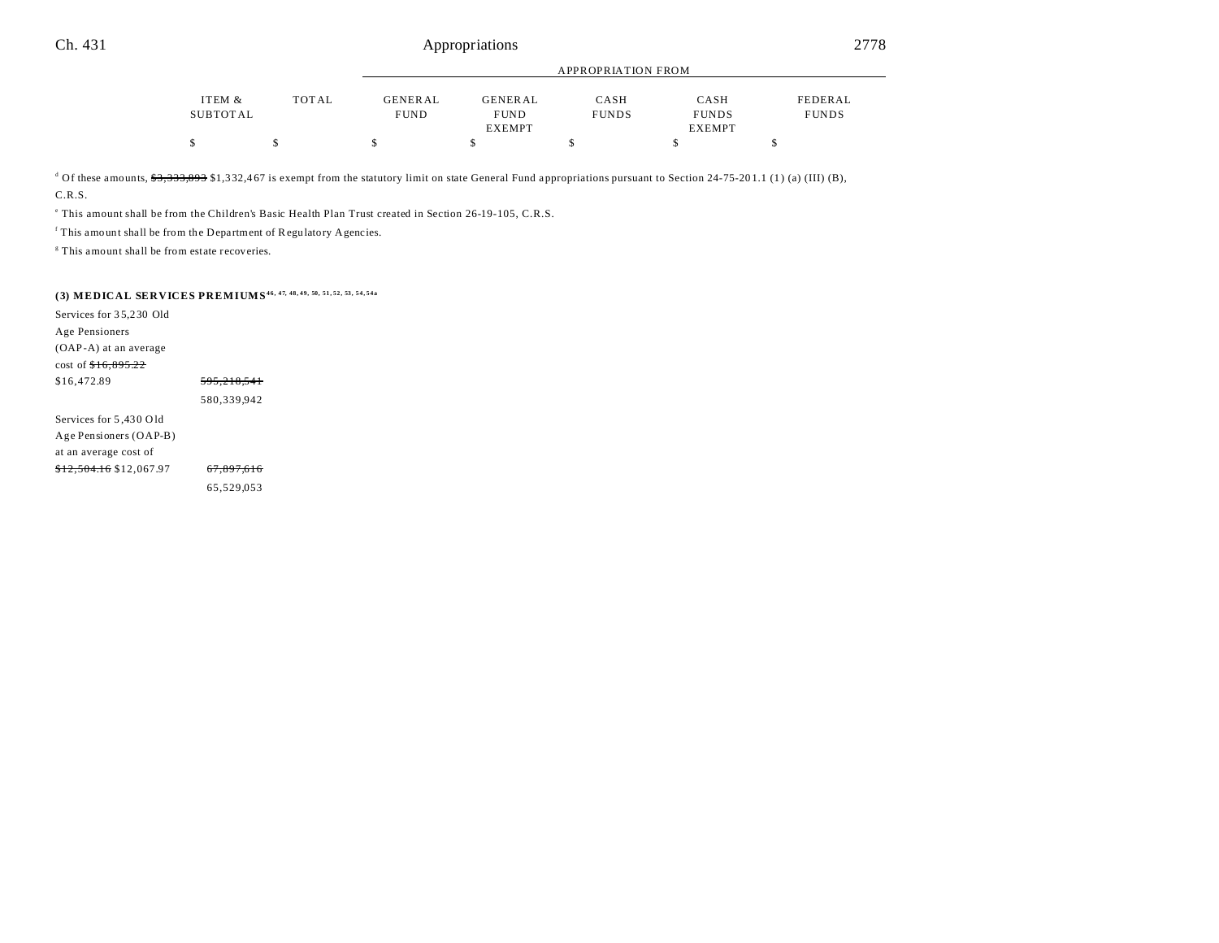|          | APPROPRIATION FROM |                |               |              |               |              |
|----------|--------------------|----------------|---------------|--------------|---------------|--------------|
|          |                    |                |               |              |               |              |
| ITEM &   | <b>TOTAL</b>       | <b>GENERAL</b> | GENERAL       | CASH         | CASH          | FEDERAL      |
| SUBTOTAL |                    | <b>FUND</b>    | <b>FUND</b>   | <b>FUNDS</b> | <b>FUNDS</b>  | <b>FUNDS</b> |
|          |                    |                | <b>EXEMPT</b> |              | <b>EXEMPT</b> |              |
|          |                    |                |               |              |               |              |

<sup>d</sup> Of these amounts, <del>\$3,333,893</del> \$1,332,467 is exempt from the statutory limit on state General Fund appropriations pursuant to Section 24-75-201.1 (1) (a) (III) (B), C.R.S.

e This amount shall be from the Children's Basic Health Plan Trust created in Section 26-19-105, C.R.S.

<sup>f</sup> This amount shall be from the Department of Regulatory Agencies.

<sup>8</sup> This amount shall be from estate recoveries.

# **(3) MEDICAL SERVICES PREMIUMS46, 47, 48, 49, 50, 51, 52, 53, 54, 54a**

| Services for 35,230 Old            |                        |  |
|------------------------------------|------------------------|--|
| Age Pensioners                     |                        |  |
| (OAP-A) at an average              |                        |  |
| cost of $f{+6.895.22}$             |                        |  |
| \$16,472.89                        | <del>595,218,541</del> |  |
|                                    | 580.339.942            |  |
| Services for 5,430 Old             |                        |  |
| Age Pensioners (OAP-B)             |                        |  |
| at an average cost of              |                        |  |
| <del>\$12,504.16</del> \$12,067.97 | <del>67.897.616</del>  |  |
|                                    | 65.529.053             |  |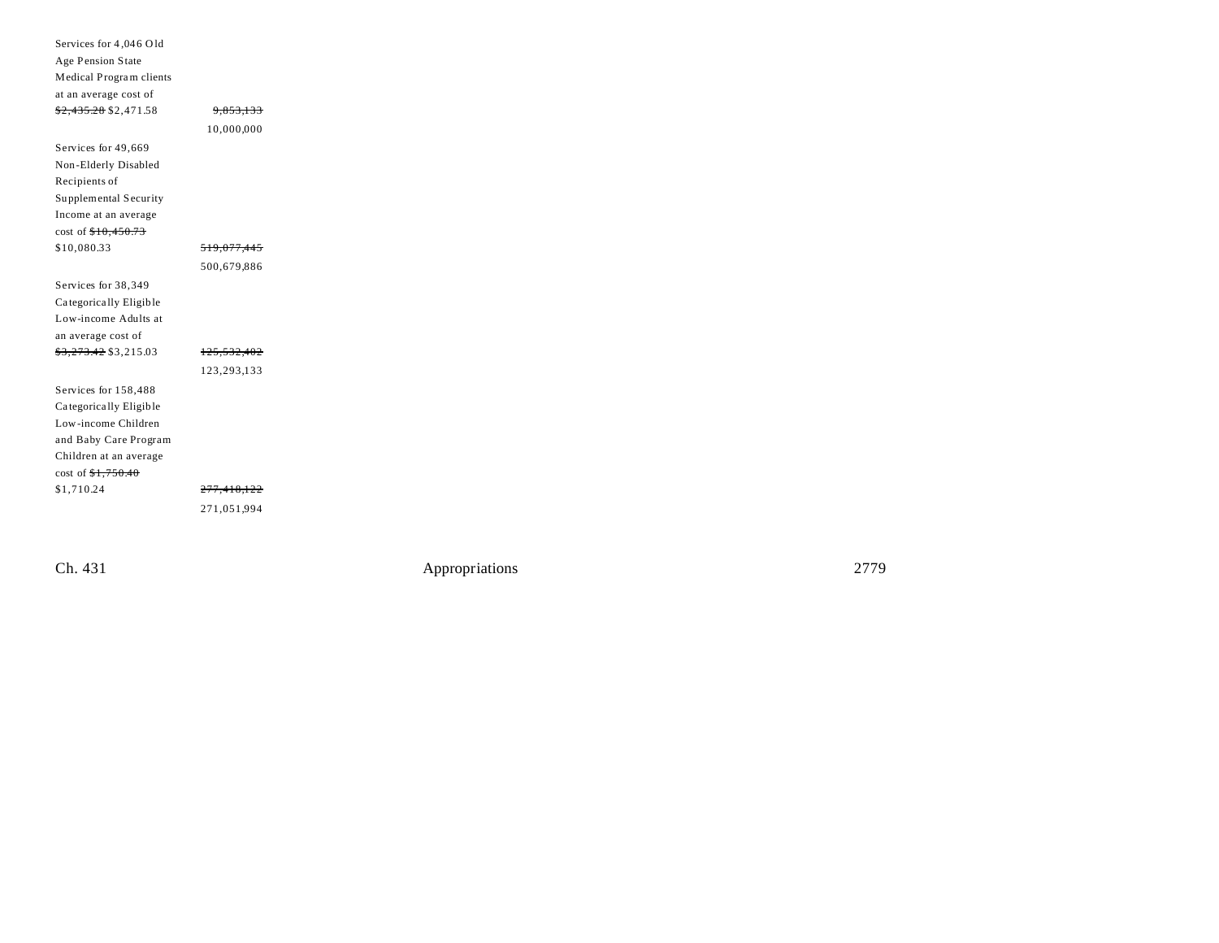| Services for 4,046 Old           |                        |
|----------------------------------|------------------------|
| Age Pension State                |                        |
| Medical Program clients          |                        |
| at an average cost of            |                        |
| <del>\$2,435.28</del> \$2,471.58 | 9,853,133              |
|                                  | 10,000,000             |
| Services for 49,669              |                        |
| Non-Elderly Disabled             |                        |
| Recipients of                    |                        |
| Supplemental Security            |                        |
| Income at an average             |                        |
| cost of \$10,450.73              |                        |
| \$10,080.33                      | <del>519,077,445</del> |
|                                  | 500,679,886            |
| Services for 38,349              |                        |
| Categorically Eligible           |                        |
| Low-income Adults at             |                        |
| an average cost of               |                        |
| <del>\$3,273.42</del> \$3,215.03 | <del>125,532,402</del> |
|                                  | 123,293,133            |
| Services for 158,488             |                        |
| Categorically Eligible           |                        |
| Low-income Children              |                        |
| and Baby Care Program            |                        |
| Children at an average           |                        |
| $cost of \frac{$1,750.40}{1}$    |                        |
|                                  |                        |
| \$1,710.24                       | <del>277,418,122</del> |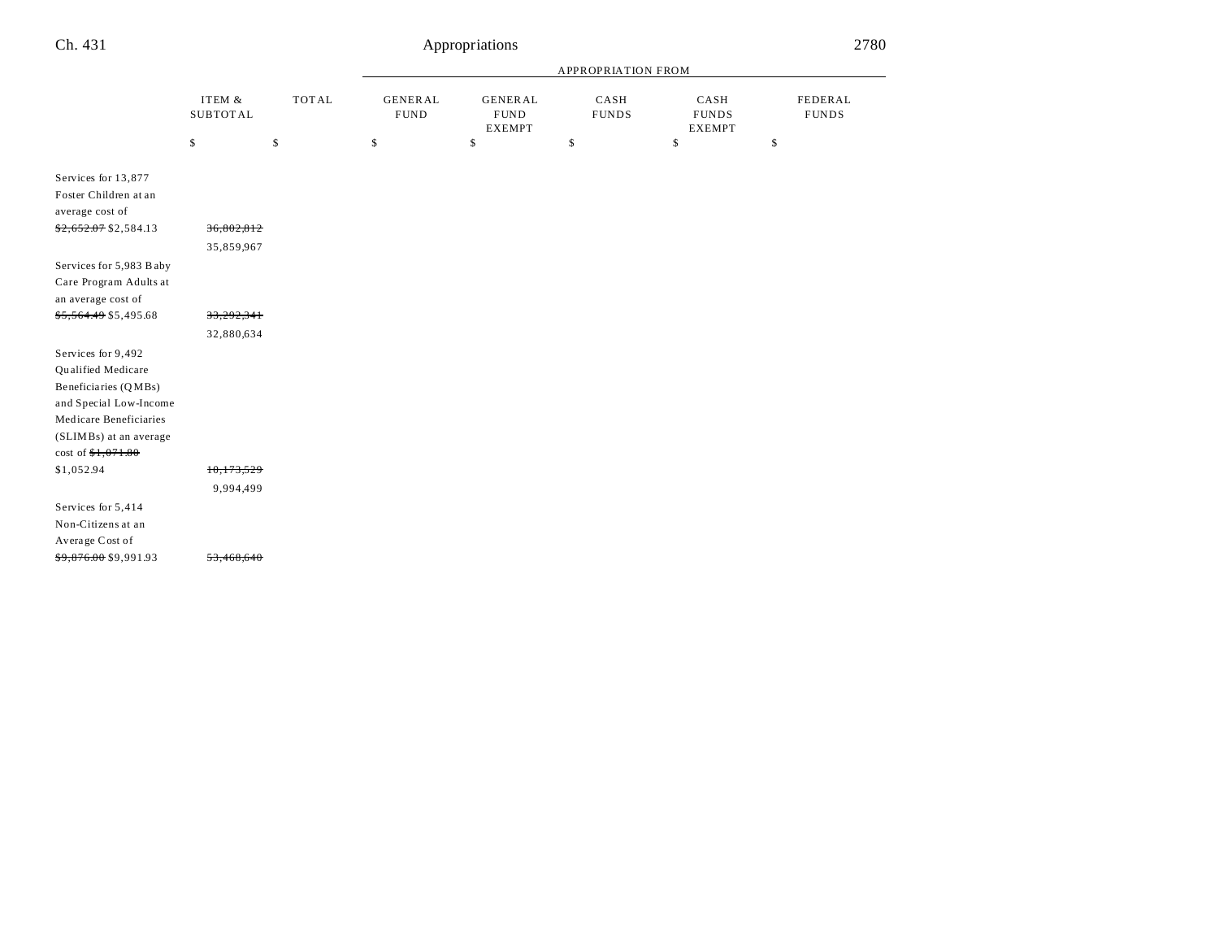|--|

|                                                                                                                                                                      |                              |              |                               | APPROPRIATION FROM                             |                      |                                       |                         |
|----------------------------------------------------------------------------------------------------------------------------------------------------------------------|------------------------------|--------------|-------------------------------|------------------------------------------------|----------------------|---------------------------------------|-------------------------|
|                                                                                                                                                                      | ITEM $\&$<br><b>SUBTOTAL</b> | <b>TOTAL</b> | <b>GENERAL</b><br><b>FUND</b> | <b>GENERAL</b><br><b>FUND</b><br><b>EXEMPT</b> | CASH<br><b>FUNDS</b> | CASH<br><b>FUNDS</b><br><b>EXEMPT</b> | FEDERAL<br><b>FUNDS</b> |
|                                                                                                                                                                      | \$                           | \$           | \$                            | \$                                             | \$                   | \$                                    | \$                      |
| Services for 13,877<br>Foster Children at an<br>average cost of                                                                                                      |                              |              |                               |                                                |                      |                                       |                         |
| \$2,652.07 \$2,584.13                                                                                                                                                | 36,802,812                   |              |                               |                                                |                      |                                       |                         |
|                                                                                                                                                                      | 35,859,967                   |              |                               |                                                |                      |                                       |                         |
| Services for 5,983 B aby<br>Care Program Adults at<br>an average cost of                                                                                             |                              |              |                               |                                                |                      |                                       |                         |
| <del>\$5,564.49</del> \$5,495.68                                                                                                                                     | 33,292,341                   |              |                               |                                                |                      |                                       |                         |
|                                                                                                                                                                      | 32,880,634                   |              |                               |                                                |                      |                                       |                         |
| Services for 9,492<br>Qualified Medicare<br>Beneficiaries (QMBs)<br>and Special Low-Income<br>Medicare Beneficiaries<br>(SLIMBs) at an average<br>cost of \$1,071.80 |                              |              |                               |                                                |                      |                                       |                         |
| \$1,052.94                                                                                                                                                           | 10,173,529                   |              |                               |                                                |                      |                                       |                         |
|                                                                                                                                                                      | 9,994,499                    |              |                               |                                                |                      |                                       |                         |
| Services for 5,414<br>Non-Citizens at an<br>Average Cost of                                                                                                          |                              |              |                               |                                                |                      |                                       |                         |
| <del>\$9,876.00</del> \$9,991.93                                                                                                                                     | 53,468,640                   |              |                               |                                                |                      |                                       |                         |
|                                                                                                                                                                      |                              |              |                               |                                                |                      |                                       |                         |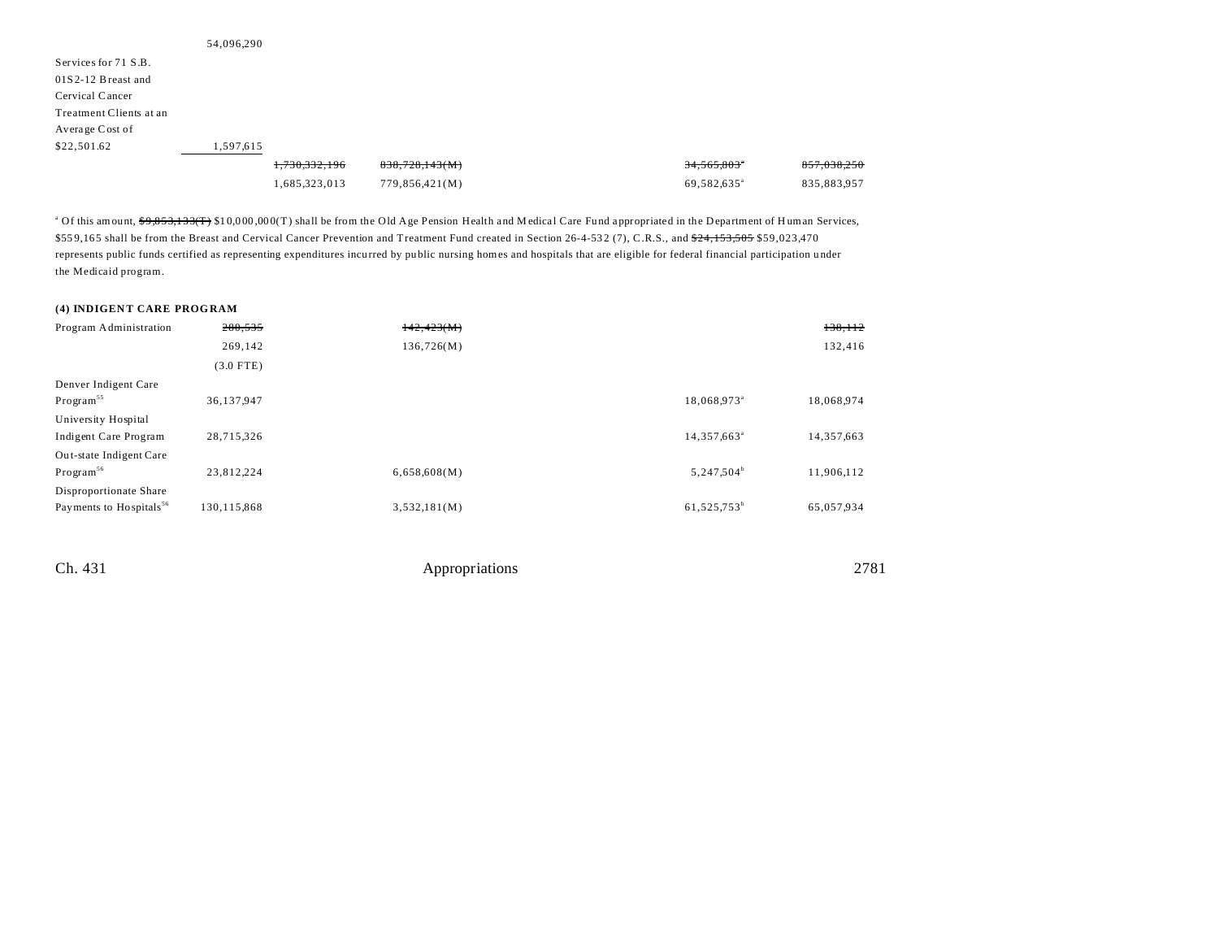| 54,096,290 |               |                |                         |             |
|------------|---------------|----------------|-------------------------|-------------|
|            |               |                |                         |             |
|            |               |                |                         |             |
|            |               |                |                         |             |
|            |               |                |                         |             |
|            |               |                |                         |             |
| 1,597,615  |               |                |                         |             |
|            | 1,730,332,196 | 838,728,143(M) | 34,565,803°             | 857.038.250 |
|            | 1,685,323,013 | 779,856,421(M) | 69,582,635 <sup>a</sup> | 835,883,957 |
|            |               |                |                         |             |

<sup>a</sup> Of this amount, <del>\$9,853,133(T)</del> \$10,000,000(T) shall be from the Old Age Pension Health and Medical Care Fund appropriated in the Department of Human Services, \$559,165 shall be from the Breast and Cervical Cancer Prevention and Treatment Fund created in Section 26-4-532 (7), C.R.S., and \$24,153,505 \$59,023,470 represents public funds certified as representing expenditures incurred by public nursing homes and hospitals that are eligible for federal financial participation u nder the Medicaid program.

### **(4) INDIGENT CARE PROGRAM**

| Program Administration              | 280,535       | 142,423(M)   |                         | 138,112    |
|-------------------------------------|---------------|--------------|-------------------------|------------|
|                                     | 269,142       | 136,726(M)   |                         | 132,416    |
|                                     | $(3.0$ FTE)   |              |                         |            |
| Denver Indigent Care                |               |              |                         |            |
| Program <sup>55</sup>               | 36,137,947    |              | 18,068,973 <sup>ª</sup> | 18,068,974 |
| University Hospital                 |               |              |                         |            |
| Indigent Care Program               | 28,715,326    |              | 14,357,663 <sup>a</sup> | 14,357,663 |
| Out-state Indigent Care             |               |              |                         |            |
| Program <sup>56</sup>               | 23.812.224    | 6,658,608(M) | 5,247,504 <sup>b</sup>  | 11.906.112 |
| Disproportionate Share              |               |              |                         |            |
| Payments to Hospitals <sup>56</sup> | 130, 115, 868 | 3,532,181(M) | 61,525,753 <sup>b</sup> | 65,057,934 |
|                                     |               |              |                         |            |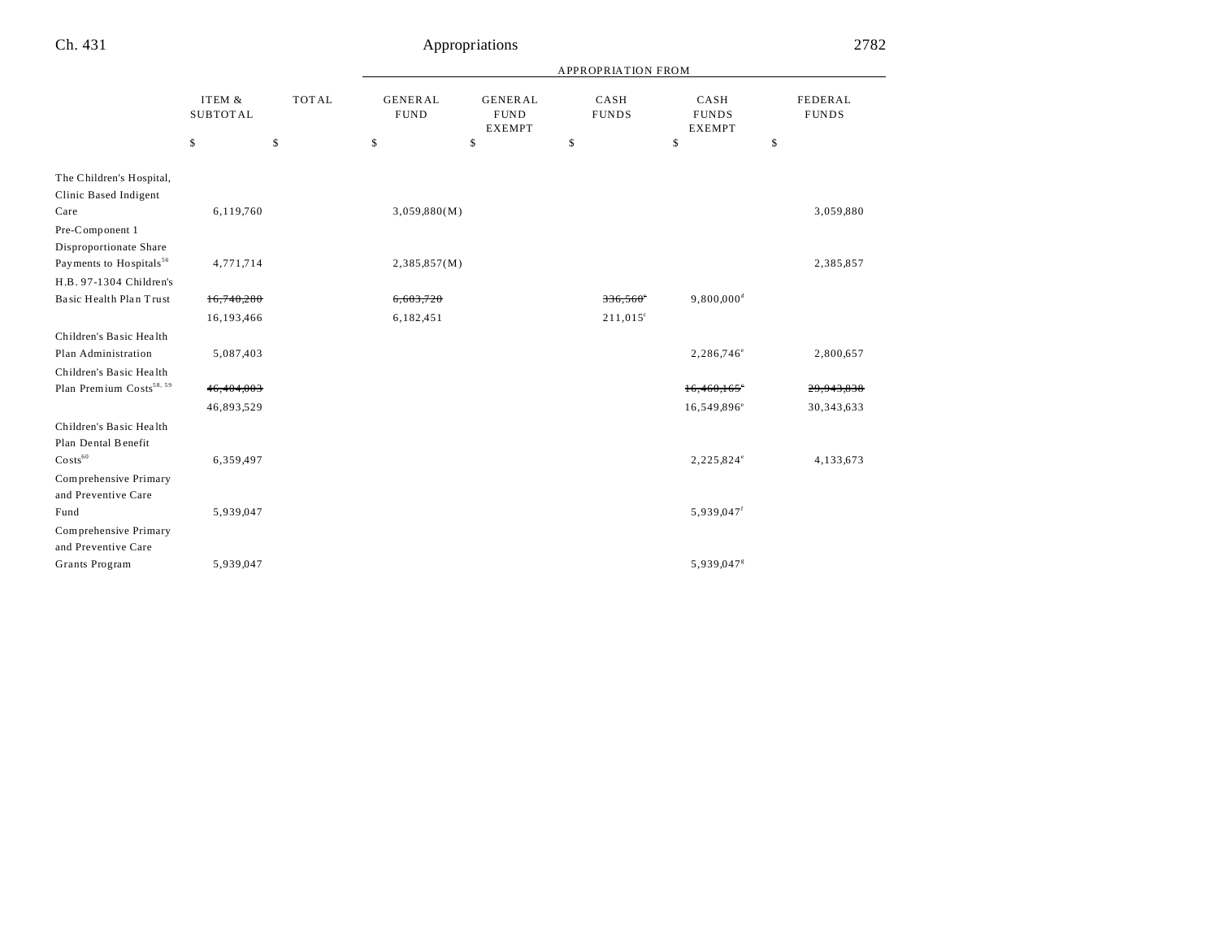|                                                   |                           |              | <b>APPROPRIATION FROM</b>     |                                                |                      |                                       |                                |  |
|---------------------------------------------------|---------------------------|--------------|-------------------------------|------------------------------------------------|----------------------|---------------------------------------|--------------------------------|--|
|                                                   | ITEM &<br><b>SUBTOTAL</b> | <b>TOTAL</b> | <b>GENERAL</b><br><b>FUND</b> | <b>GENERAL</b><br><b>FUND</b><br><b>EXEMPT</b> | CASH<br><b>FUNDS</b> | CASH<br><b>FUNDS</b><br><b>EXEMPT</b> | <b>FEDERAL</b><br><b>FUNDS</b> |  |
|                                                   | \$                        | \$           | \$                            | \$                                             | \$                   | \$                                    | \$                             |  |
| The Children's Hospital,<br>Clinic Based Indigent |                           |              |                               |                                                |                      |                                       |                                |  |
| Care                                              | 6,119,760                 |              | 3,059,880(M)                  |                                                |                      |                                       | 3,059,880                      |  |
| Pre-Component 1                                   |                           |              |                               |                                                |                      |                                       |                                |  |
| Disproportionate Share                            |                           |              |                               |                                                |                      |                                       |                                |  |
| Payments to Hospitals <sup>56</sup>               | 4,771,714                 |              | 2,385,857(M)                  |                                                |                      |                                       | 2,385,857                      |  |
| H.B. 97-1304 Children's                           |                           |              |                               |                                                |                      |                                       |                                |  |
| Basic Health Plan Trust                           | 16,740,280                |              | 6,603,720                     |                                                | 336,560°             | 9,800,000 <sup>d</sup>                |                                |  |
|                                                   | 16,193,466                |              | 6,182,451                     |                                                | $211,015^{\circ}$    |                                       |                                |  |
| Children's Basic Health                           |                           |              |                               |                                                |                      |                                       |                                |  |
| Plan Administration                               | 5,087,403                 |              |                               |                                                |                      | 2,286,746 <sup>e</sup>                | 2,800,657                      |  |
| Children's Basic Health                           |                           |              |                               |                                                |                      |                                       |                                |  |
| Plan Premium Costs <sup>58, 59</sup>              | 46,404,003                |              |                               |                                                |                      | 16,460,165                            | 29,943,838                     |  |
|                                                   | 46,893,529                |              |                               |                                                |                      | 16,549,896 <sup>e</sup>               | 30, 343, 633                   |  |
| Children's Basic Health                           |                           |              |                               |                                                |                      |                                       |                                |  |
| Plan Dental Benefit                               |                           |              |                               |                                                |                      |                                       |                                |  |
| $\text{Costs}^{60}$                               | 6,359,497                 |              |                               |                                                |                      | 2,225,824°                            | 4,133,673                      |  |
| Comprehensive Primary                             |                           |              |                               |                                                |                      |                                       |                                |  |
| and Preventive Care                               |                           |              |                               |                                                |                      |                                       |                                |  |
| Fund                                              | 5,939,047                 |              |                               |                                                |                      | 5,939,047 <sup>f</sup>                |                                |  |
| Comprehensive Primary                             |                           |              |                               |                                                |                      |                                       |                                |  |
| and Preventive Care                               |                           |              |                               |                                                |                      |                                       |                                |  |
| Grants Program                                    | 5,939,047                 |              |                               |                                                |                      | 5,939,047 <sup>8</sup>                |                                |  |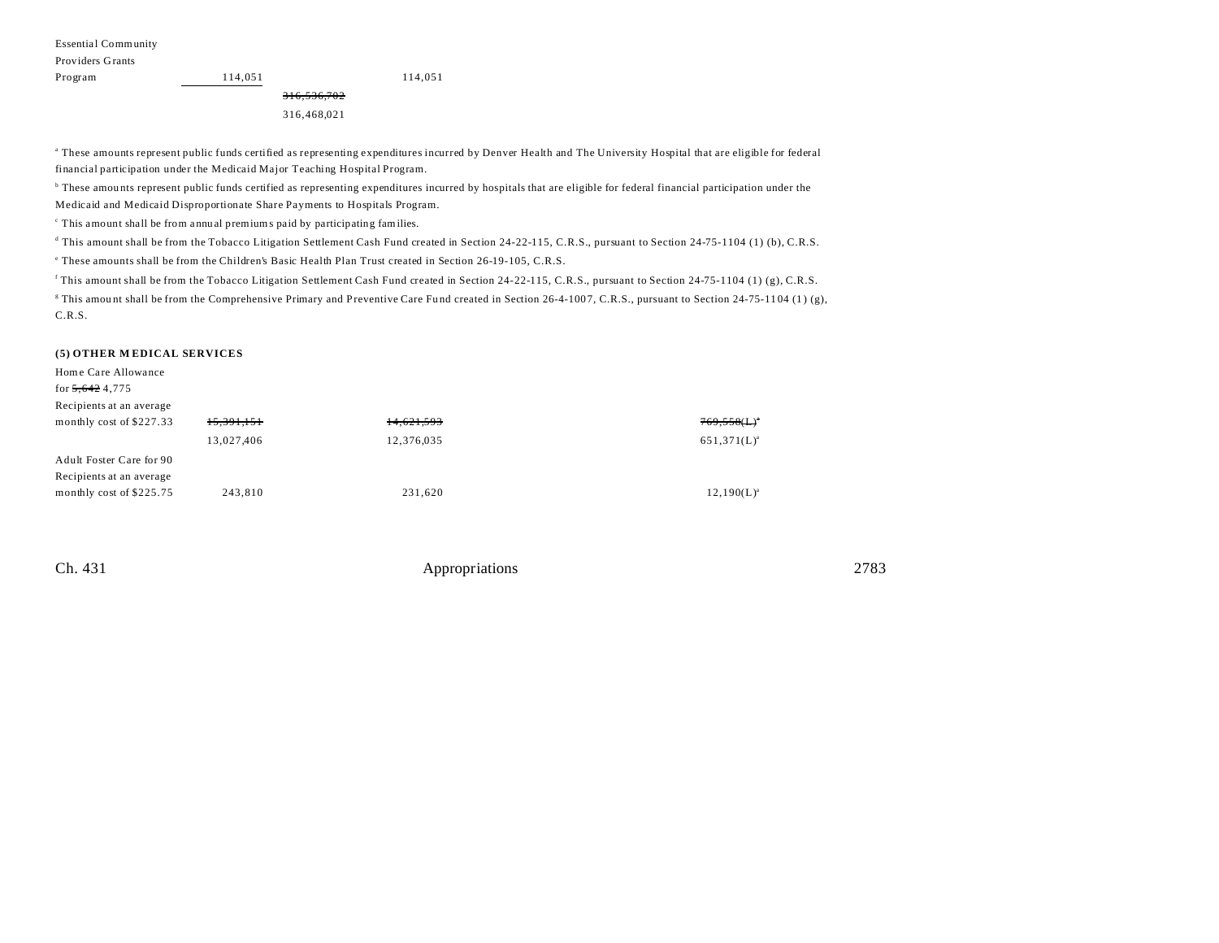Essential Community

| Providers Grants |             |         |
|------------------|-------------|---------|
| Program          | 114.051     | 114,051 |
|                  | 316,536,702 |         |
|                  | 316,468,021 |         |

a These amounts represent public funds certified as representing expenditures incurred by Denver Health and The University Hospital that are eligible for federal financial participation under the Medicaid Major Teaching Hospital Program.

b These amou nts represent public funds certified as representing expenditures incurred by hospitals that are eligible for federal financial participation under the Medicaid and Medicaid Disproportionate Share Payments to Hospitals Program.

c This amount shall be from a nnu al premiums paid by participating families.

d This amount shall be from the Tobacco Litigation Settlement Cash Fund created in Section 24-22-115, C.R.S., pursuant to Section 24-75-1104 (1) (b), C.R.S.

e These amounts shall be from the Children's Basic Health Plan Trust created in Section 26-19-105, C.R.S.

This amount shall be from the Tobacco Litigation Settlement Cash Fund created in Section 24-22-115, C.R.S., pursuant to Section 24-75-1104 (1) (g), C.R.S.

<sup>g</sup> This amount shall be from the Comprehensive Primary and Preventive Care Fund created in Section 26-4-1007, C.R.S., pursuant to Section 24-75-1104 (1) (g), C.R.S.

### **(5) OTHER M EDICAL SERVICES**

Home Care Allowance

for 5,642 4,775 Recipients at an average

| Recipients at an average |                       |            |                  |
|--------------------------|-----------------------|------------|------------------|
| monthly cost of \$227.33 | <del>15,391,151</del> | 14,621,593 | $769,558(L)^{n}$ |
|                          | 13,027,406            | 12,376,035 | $651,371(L)^{a}$ |
| Adult Foster Care for 90 |                       |            |                  |
| Recipients at an average |                       |            |                  |
| monthly cost of \$225.75 | 243,810               | 231,620    | $12,190(L)^{a}$  |
|                          |                       |            |                  |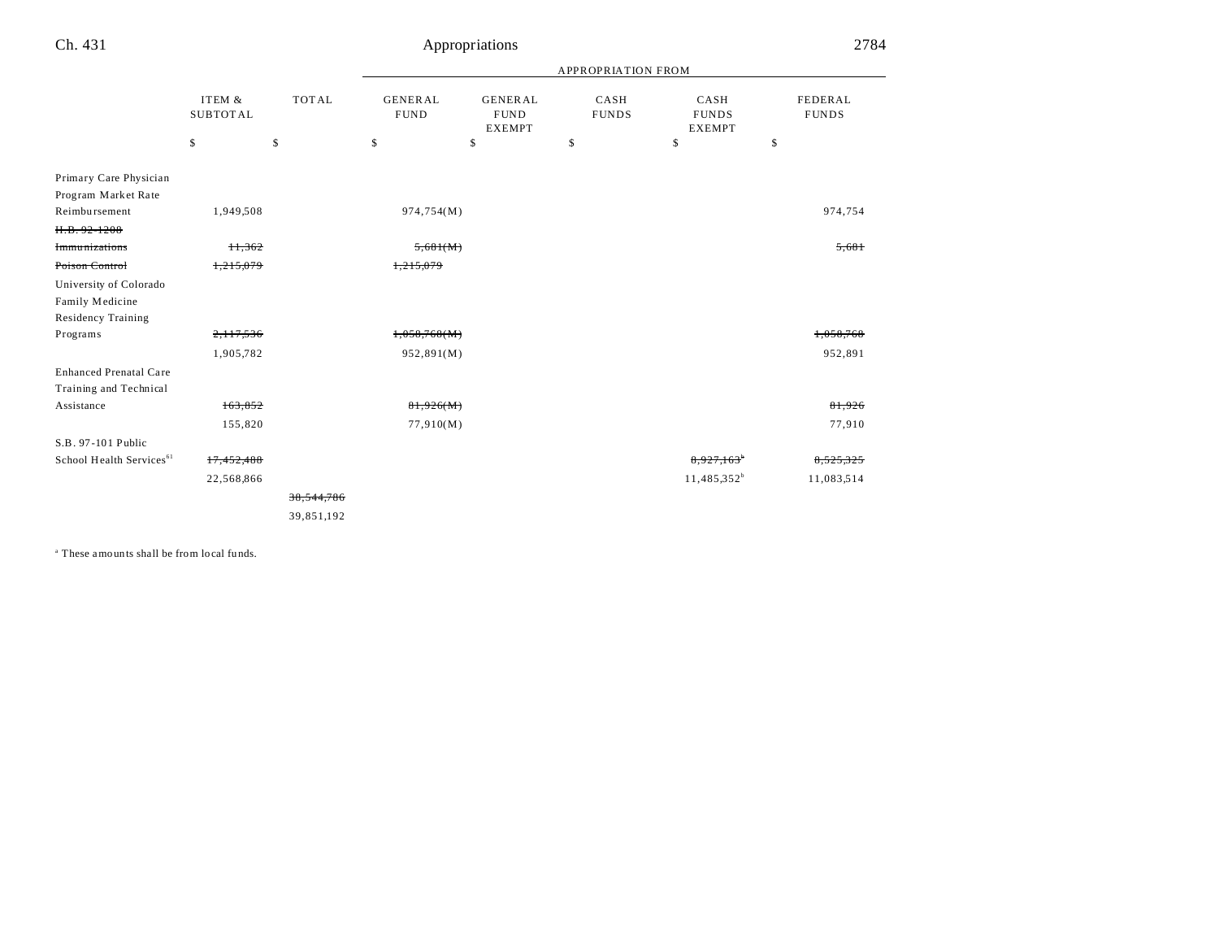|     | Appropriations | 2784                      |              |              |
|-----|----------------|---------------------------|--------------|--------------|
|     |                | <b>APPROPRIATION FROM</b> |              |              |
| ₹AL | <b>GENERAL</b> | CASH                      | CASH         | FEDERAL      |
| D   | <b>FUND</b>    | <b>FIINDS</b>             | <b>FUNDS</b> | <b>FUNDS</b> |

|                                      | ITEM &<br><b>SUBTOTAL</b> | <b>TOTAL</b> | <b>GENERAL</b><br><b>FUND</b> | <b>GENERAL</b><br><b>FUND</b><br><b>EXEMPT</b> | CASH<br><b>FUNDS</b> | CASH<br><b>FUNDS</b><br><b>EXEMPT</b> | <b>FEDERAL</b><br><b>FUNDS</b> |
|--------------------------------------|---------------------------|--------------|-------------------------------|------------------------------------------------|----------------------|---------------------------------------|--------------------------------|
|                                      | \$                        | \$           | \$                            | \$                                             | \$                   | \$                                    | \$                             |
| Primary Care Physician               |                           |              |                               |                                                |                      |                                       |                                |
| Program Market Rate                  |                           |              |                               |                                                |                      |                                       |                                |
| Reimbursement                        | 1,949,508                 |              | 974,754(M)                    |                                                |                      |                                       | 974,754                        |
| $H.B. 92 - 1208$                     |                           |              |                               |                                                |                      |                                       |                                |
| <b>Immunizations</b>                 | 11,362                    |              | 5,681(M)                      |                                                |                      |                                       | 5,681                          |
| Poison Control                       | 1,215,079                 |              | 1,215,079                     |                                                |                      |                                       |                                |
| University of Colorado               |                           |              |                               |                                                |                      |                                       |                                |
| Family Medicine                      |                           |              |                               |                                                |                      |                                       |                                |
| <b>Residency Training</b>            |                           |              |                               |                                                |                      |                                       |                                |
| Programs                             | 2,117,536                 |              | 1,058,768(M)                  |                                                |                      |                                       | 1,058,768                      |
|                                      | 1,905,782                 |              | 952,891(M)                    |                                                |                      |                                       | 952,891                        |
| <b>Enhanced Prenatal Care</b>        |                           |              |                               |                                                |                      |                                       |                                |
| Training and Technical               |                           |              |                               |                                                |                      |                                       |                                |
| Assistance                           | 163,852                   |              | 81,926(M)                     |                                                |                      |                                       | 81,926                         |
|                                      | 155,820                   |              | 77,910(M)                     |                                                |                      |                                       | 77,910                         |
| S.B. 97-101 Public                   |                           |              |                               |                                                |                      |                                       |                                |
| School Health Services <sup>61</sup> | 17,452,488                |              |                               |                                                |                      | 8,927,163 <sup>*</sup>                | 8,525,325                      |
|                                      | 22,568,866                |              |                               |                                                |                      | $11,485,352^b$                        | 11,083,514                     |
|                                      |                           | 38,544,786   |                               |                                                |                      |                                       |                                |
|                                      |                           | 39,851,192   |                               |                                                |                      |                                       |                                |

a These amounts shall be from local fu nds.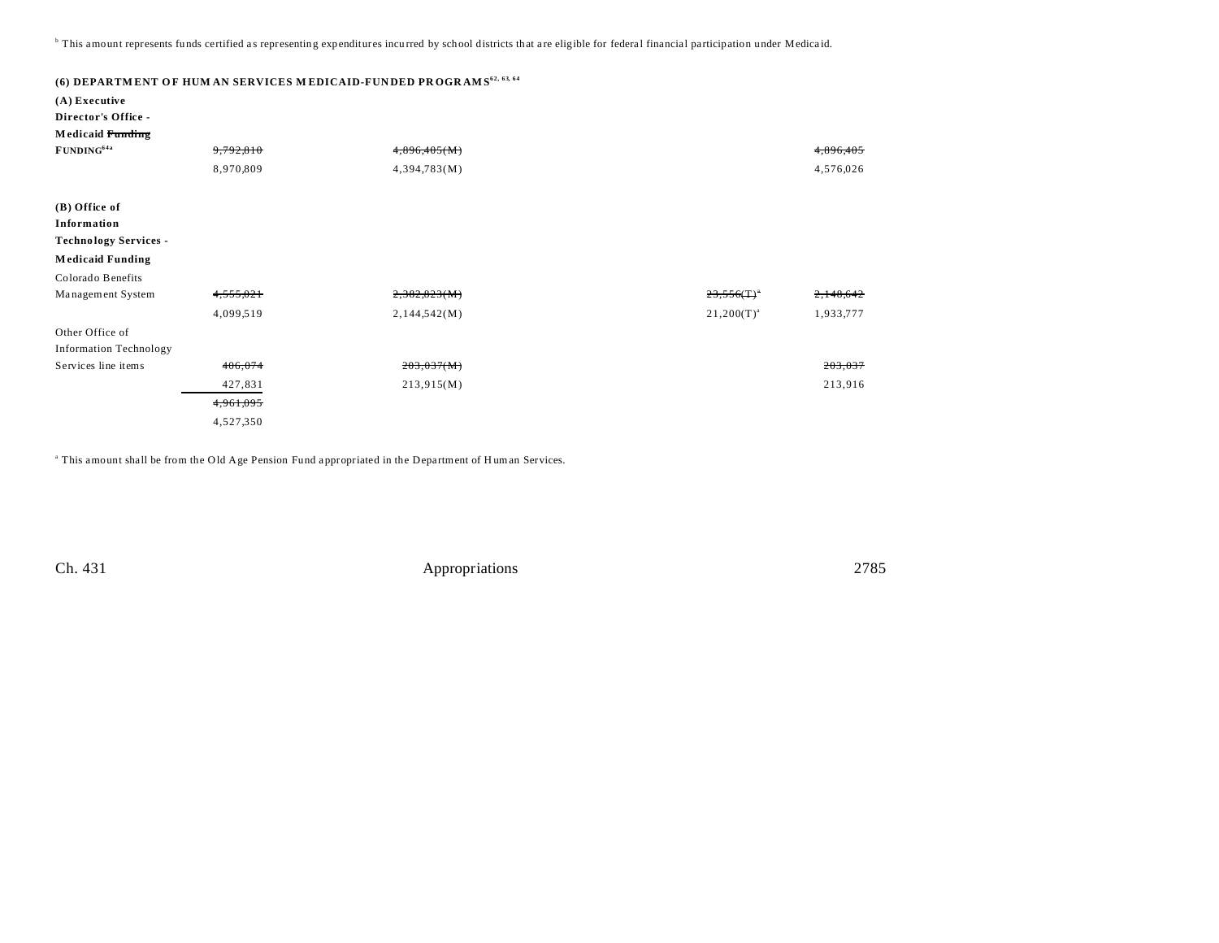<sup>b</sup> This amount represents funds certified as representing expenditures incurred by school districts that are eligible for federal financial participation under Medicaid.

| (A) Executive<br>Director's Office -                                                    |           | (6) DEPARTMENT OF HUM AN SERVICES MEDICAID-FUNDED PROGRAMS <sup>62, 63, 64</sup> |                              |  |
|-----------------------------------------------------------------------------------------|-----------|----------------------------------------------------------------------------------|------------------------------|--|
| Medicaid Funding<br>FUNDING <sup>64a</sup>                                              | 9,792,810 | 4,896,405(M)                                                                     | 4,896,405                    |  |
|                                                                                         |           |                                                                                  |                              |  |
|                                                                                         | 8,970,809 | 4,394,783(M)                                                                     | 4,576,026                    |  |
| (B) Office of<br>Information<br><b>Technology Services -</b><br><b>Medicaid Funding</b> |           |                                                                                  |                              |  |
| Colorado Benefits                                                                       |           |                                                                                  |                              |  |
| Management System                                                                       | 4,555,021 | 2,382,823(M)                                                                     | 2,148,642<br>23,556(T)       |  |
|                                                                                         | 4,099,519 | 2,144,542(M)                                                                     | 1,933,777<br>$21,200(T)^{a}$ |  |
| Other Office of                                                                         |           |                                                                                  |                              |  |
| <b>Information Technology</b>                                                           |           |                                                                                  |                              |  |
| Services line items                                                                     | 406,074   | 203,037(M)                                                                       | 203,037                      |  |
|                                                                                         | 427,831   | 213,915(M)                                                                       | 213,916                      |  |
|                                                                                         | 4,961,095 |                                                                                  |                              |  |
|                                                                                         | 4,527,350 |                                                                                  |                              |  |

<sup>a</sup> This amount shall be from the Old Age Pension Fund appropriated in the Department of Human Services.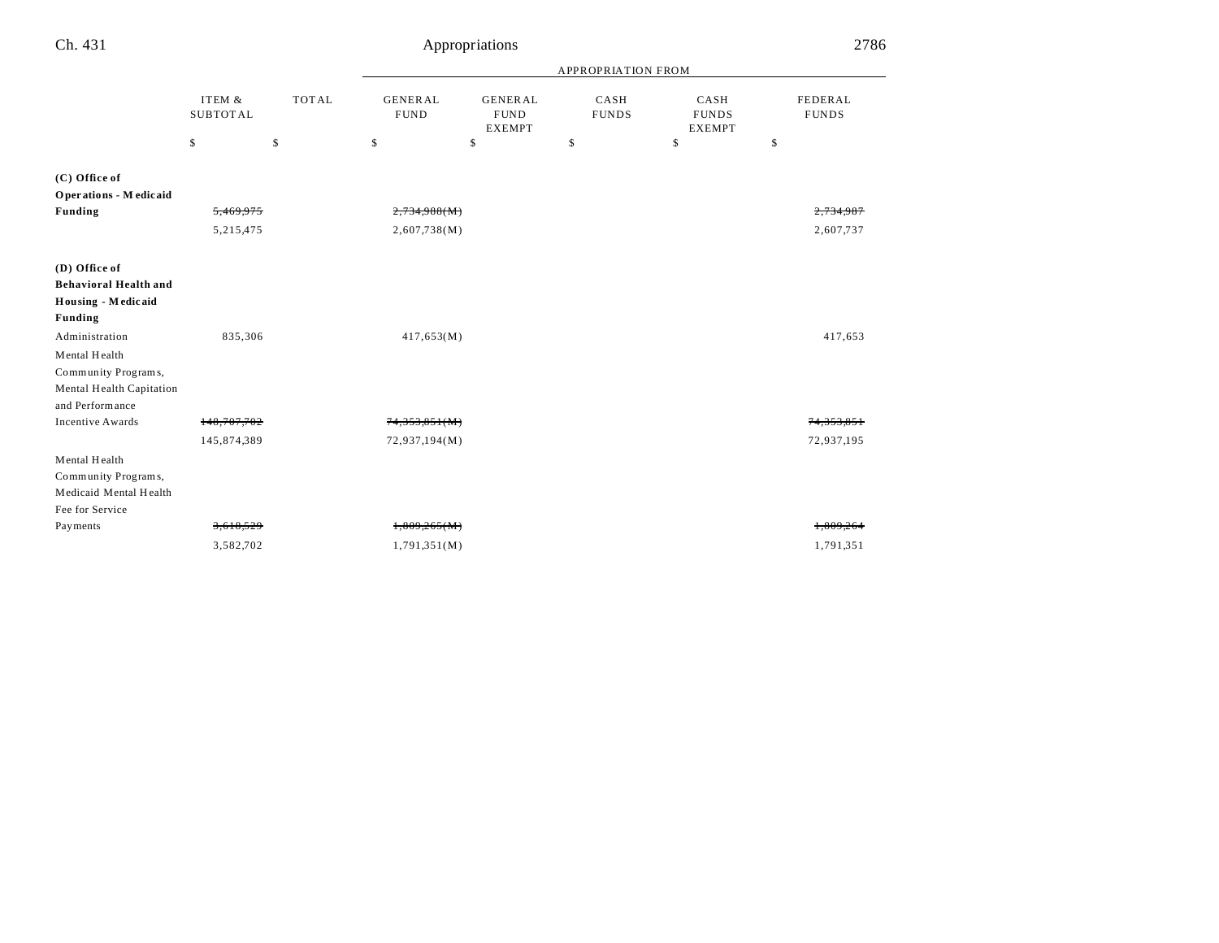| Ch. 431                      |                           |              |                               | Appropriations                                 |                      |                                       | 2786                    |
|------------------------------|---------------------------|--------------|-------------------------------|------------------------------------------------|----------------------|---------------------------------------|-------------------------|
|                              |                           |              | APPROPRIATION FROM            |                                                |                      |                                       |                         |
|                              | ITEM &<br><b>SUBTOTAL</b> | <b>TOTAL</b> | <b>GENERAL</b><br><b>FUND</b> | <b>GENERAL</b><br><b>FUND</b><br><b>EXEMPT</b> | CASH<br><b>FUNDS</b> | CASH<br><b>FUNDS</b><br><b>EXEMPT</b> | FEDERAL<br><b>FUNDS</b> |
|                              | \$                        | \$           | \$                            | \$                                             | \$                   | \$                                    | \$                      |
| (C) Office of                |                           |              |                               |                                                |                      |                                       |                         |
| Operations - Medicaid        |                           |              |                               |                                                |                      |                                       |                         |
| <b>Funding</b>               | 5,469,975                 |              | 2,734,988(M)                  |                                                |                      |                                       | 2,734,987               |
|                              | 5,215,475                 |              | 2,607,738(M)                  |                                                |                      |                                       | 2,607,737               |
| (D) Office of                |                           |              |                               |                                                |                      |                                       |                         |
| <b>Behavioral Health and</b> |                           |              |                               |                                                |                      |                                       |                         |
| Housing - Medicaid           |                           |              |                               |                                                |                      |                                       |                         |
| <b>Funding</b>               |                           |              |                               |                                                |                      |                                       |                         |
| Administration               | 835,306                   |              | 417,653(M)                    |                                                |                      |                                       | 417,653                 |
| Mental Health                |                           |              |                               |                                                |                      |                                       |                         |
| Community Programs,          |                           |              |                               |                                                |                      |                                       |                         |
| Mental Health Capitation     |                           |              |                               |                                                |                      |                                       |                         |
| and Performance              |                           |              |                               |                                                |                      |                                       |                         |
| <b>Incentive Awards</b>      | 148,707,702               |              | 74,353,851(M)                 |                                                |                      |                                       | 74.353.85               |
|                              | 145,874,389               |              | 72,937,194(M)                 |                                                |                      |                                       | 72,937,195              |
| Mental Health                |                           |              |                               |                                                |                      |                                       |                         |
| Community Programs,          |                           |              |                               |                                                |                      |                                       |                         |
| Medicaid Mental Health       |                           |              |                               |                                                |                      |                                       |                         |
| Fee for Service              |                           |              |                               |                                                |                      |                                       |                         |
| Payments                     | 3,618,529                 |              | 1,809,265(M)                  |                                                |                      |                                       | 1.809.264               |
|                              | 3,582,702                 |              | 1,791,351(M)                  |                                                |                      |                                       | 1,791,351               |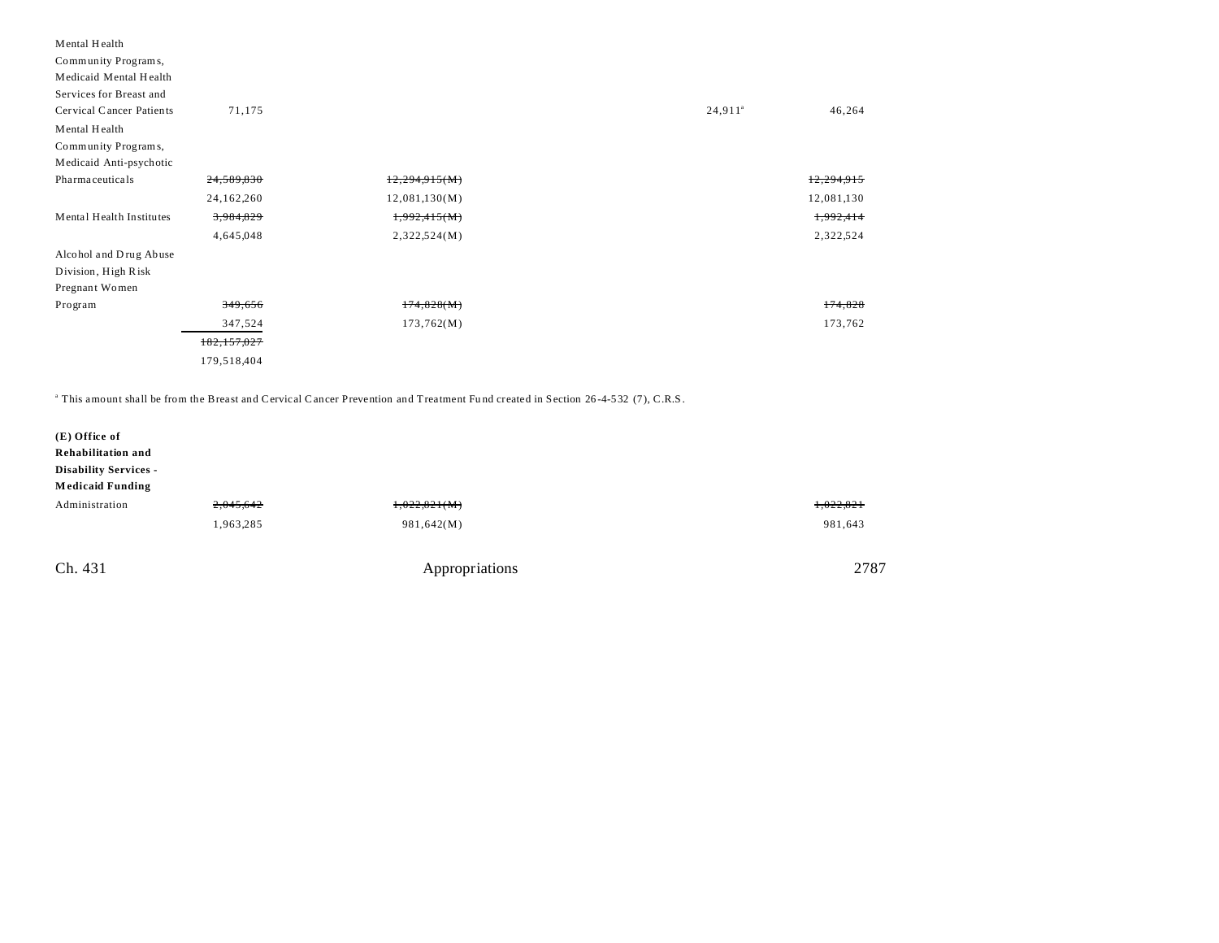| Mental Health            |               |               |                  |            |
|--------------------------|---------------|---------------|------------------|------------|
| Community Programs,      |               |               |                  |            |
| Medicaid Mental Health   |               |               |                  |            |
| Services for Breast and  |               |               |                  |            |
| Cervical Cancer Patients | 71,175        |               | $24,911^{\circ}$ | 46,264     |
| Mental Health            |               |               |                  |            |
| Community Programs,      |               |               |                  |            |
| Medicaid Anti-psychotic  |               |               |                  |            |
| Pharmaceuticals          | 24,589,830    | 12,294,915(M) |                  | 12,294,915 |
|                          | 24, 162, 260  | 12,081,130(M) |                  | 12,081,130 |
| Mental Health Institutes | 3,984,829     | 1,992,415(M)  |                  | 1,992,414  |
|                          | 4,645,048     | 2,322,524(M)  |                  | 2,322,524  |
| Alcohol and Drug Abuse   |               |               |                  |            |
| Division, High Risk      |               |               |                  |            |
| Pregnant Women           |               |               |                  |            |
| Program                  | 349,656       | 174,828(M)    |                  | 174,828    |
|                          | 347,524       | 173,762(M)    |                  | 173,762    |
|                          | 182, 157, 027 |               |                  |            |
|                          | 179,518,404   |               |                  |            |

a This amount shall be from the Breast and Cervical Cancer Prevention and Treatment Fu nd created in Section 26 -4-532 (7), C.R.S.

| (E) Office of<br>Rehabilitation and<br><b>Disability Services -</b><br><b>Medicaid Funding</b> |           |                |           |
|------------------------------------------------------------------------------------------------|-----------|----------------|-----------|
| Administration                                                                                 | 2,045,642 | 1,022,821(M)   | 1,022,821 |
|                                                                                                | 1,963,285 | 981,642(M)     | 981,643   |
| Ch. 431                                                                                        |           | Appropriations | 2787      |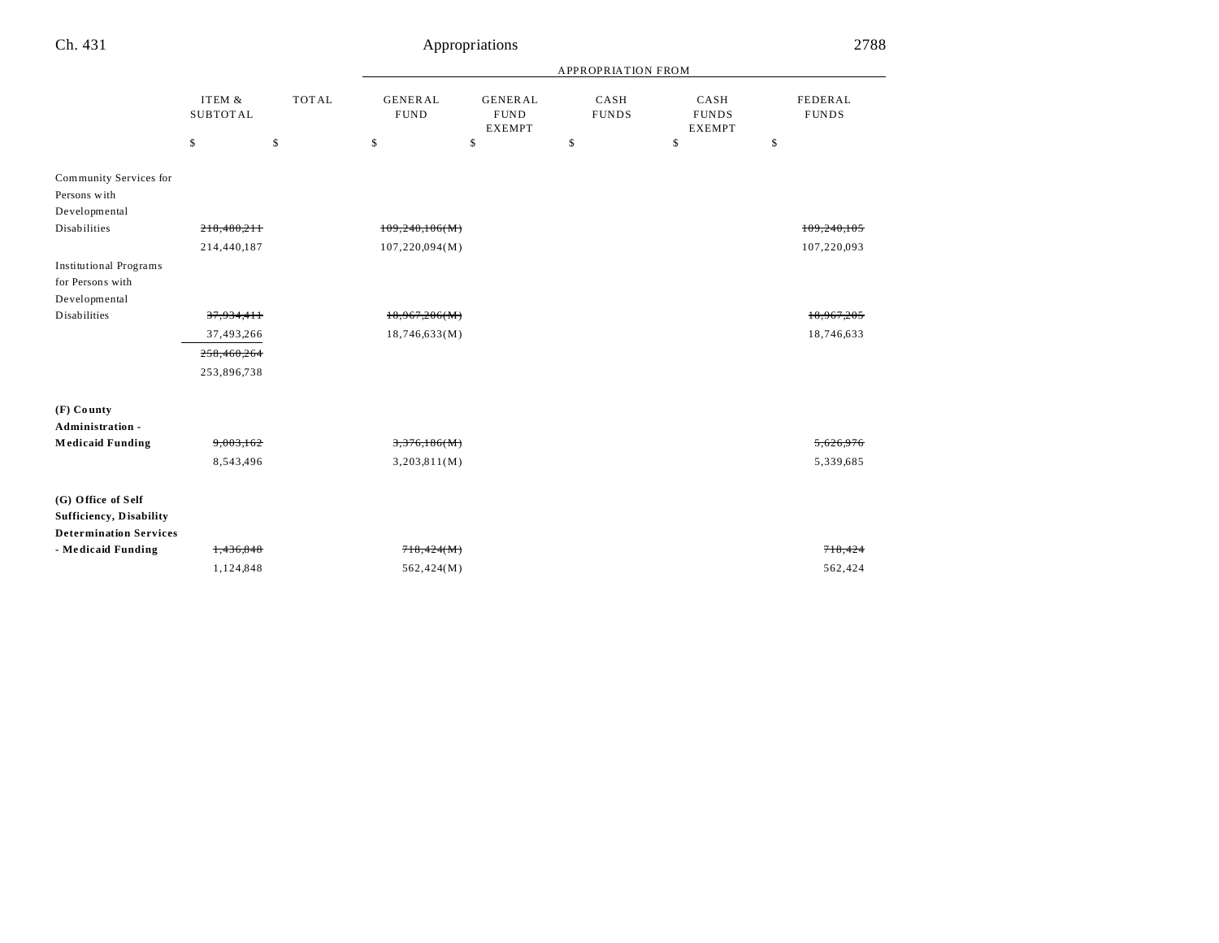| Ch. 431                                               | Appropriations            |              |                               |                                                |                      |                                       |    | 2788                    |  |
|-------------------------------------------------------|---------------------------|--------------|-------------------------------|------------------------------------------------|----------------------|---------------------------------------|----|-------------------------|--|
|                                                       |                           |              | APPROPRIATION FROM            |                                                |                      |                                       |    |                         |  |
|                                                       | ITEM &<br><b>SUBTOTAL</b> | <b>TOTAL</b> | <b>GENERAL</b><br><b>FUND</b> | <b>GENERAL</b><br><b>FUND</b><br><b>EXEMPT</b> | CASH<br><b>FUNDS</b> | CASH<br><b>FUNDS</b><br><b>EXEMPT</b> |    | FEDERAL<br><b>FUNDS</b> |  |
|                                                       | \$                        | \$           | \$                            | \$                                             | \$                   | \$                                    | \$ |                         |  |
| Community Services for                                |                           |              |                               |                                                |                      |                                       |    |                         |  |
| Persons with                                          |                           |              |                               |                                                |                      |                                       |    |                         |  |
| Developmental<br><b>Disabilities</b>                  |                           |              |                               |                                                |                      |                                       |    |                         |  |
|                                                       | 218.480.211               |              | 109,240,106(M)                |                                                |                      |                                       |    | 109.240.105             |  |
|                                                       | 214,440,187               |              | 107,220,094(M)                |                                                |                      |                                       |    | 107,220,093             |  |
| <b>Institutional Programs</b><br>for Persons with     |                           |              |                               |                                                |                      |                                       |    |                         |  |
| Developmental                                         |                           |              |                               |                                                |                      |                                       |    |                         |  |
| <b>Disabilities</b>                                   | 37,934,411                |              | 18,967,206(M)                 |                                                |                      |                                       |    | 18,967,205              |  |
|                                                       | 37,493,266                |              | 18,746,633(M)                 |                                                |                      |                                       |    | 18,746,633              |  |
|                                                       | 258,460,264               |              |                               |                                                |                      |                                       |    |                         |  |
|                                                       | 253,896,738               |              |                               |                                                |                      |                                       |    |                         |  |
| (F) County                                            |                           |              |                               |                                                |                      |                                       |    |                         |  |
| Administration -                                      |                           |              |                               |                                                |                      |                                       |    |                         |  |
| <b>Medicaid Funding</b>                               | 9,003,162                 |              | 3,376,186(M)                  |                                                |                      |                                       |    | 5,626,976               |  |
|                                                       | 8,543,496                 |              | 3,203,811(M)                  |                                                |                      |                                       |    | 5,339,685               |  |
| (G) Office of Self<br><b>Sufficiency</b> , Disability |                           |              |                               |                                                |                      |                                       |    |                         |  |
| <b>Determination Services</b>                         |                           |              |                               |                                                |                      |                                       |    |                         |  |
| - Medicaid Funding                                    | 1,436,848                 |              | 718,424(M)                    |                                                |                      |                                       |    | 718,424                 |  |
|                                                       | 1,124,848                 |              | 562,424(M)                    |                                                |                      |                                       |    | 562,424                 |  |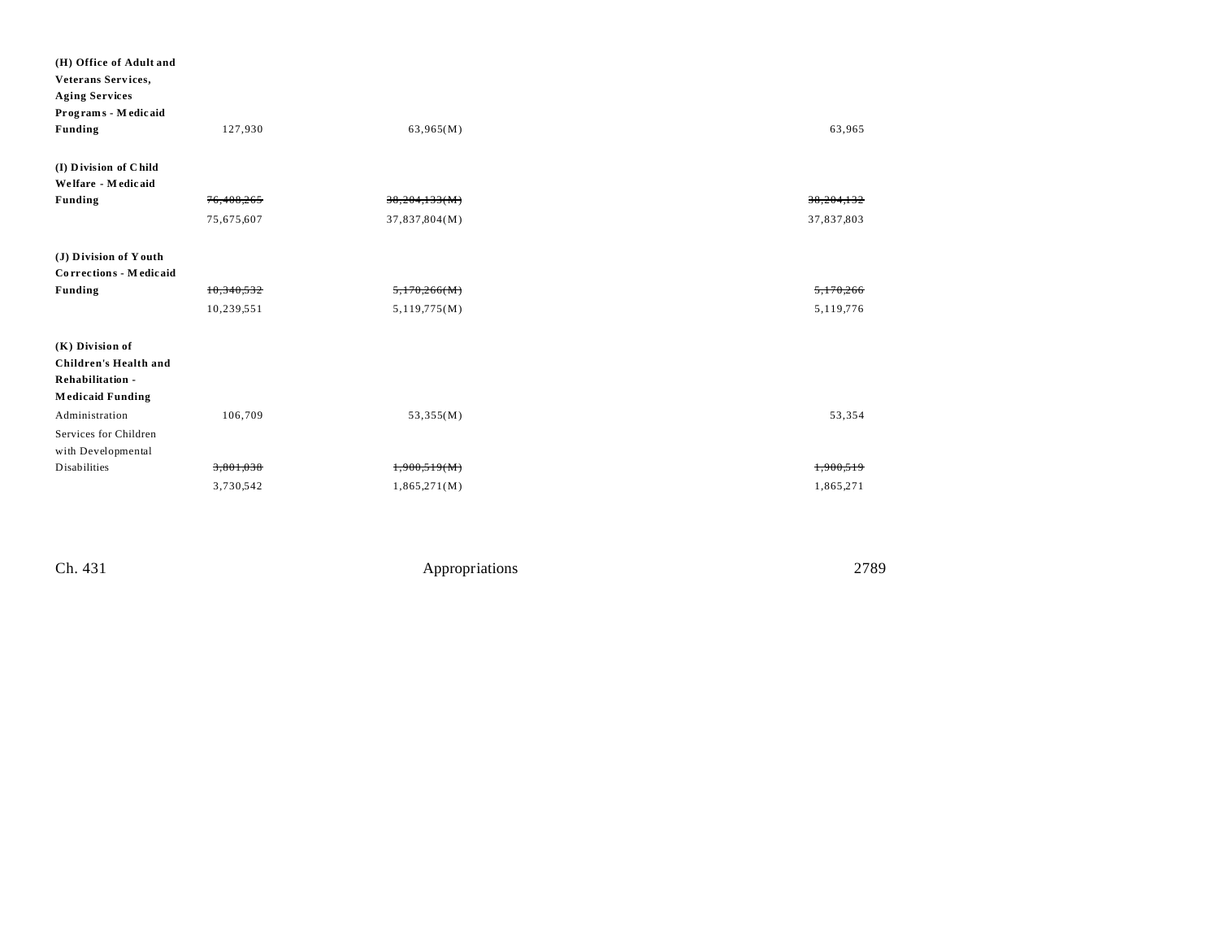| (H) Office of Adult and      |            |               |            |
|------------------------------|------------|---------------|------------|
| Veterans Services,           |            |               |            |
| <b>Aging Services</b>        |            |               |            |
| Programs - Medicaid          |            |               |            |
| <b>Funding</b>               | 127,930    | 63,965(M)     | 63,965     |
|                              |            |               |            |
| (I) Division of Child        |            |               |            |
| Welfare - Medicaid           |            |               |            |
| <b>Funding</b>               | 76,408,265 | 38,204,133(M) | 38,204,132 |
|                              | 75,675,607 | 37,837,804(M) | 37,837,803 |
|                              |            |               |            |
| (J) Division of Youth        |            |               |            |
| Corrections - Medicaid       |            |               |            |
| <b>Funding</b>               | 10,340,532 | 5,170,266(M)  | 5,170,266  |
|                              | 10,239,551 | 5,119,775(M)  | 5,119,776  |
|                              |            |               |            |
| $(K)$ Division of            |            |               |            |
| <b>Children's Health and</b> |            |               |            |
| Rehabilitation -             |            |               |            |
| <b>Medicaid Funding</b>      |            |               |            |
| Administration               | 106,709    | 53,355(M)     | 53,354     |
| Services for Children        |            |               |            |
| with Developmental           |            |               |            |
| <b>Disabilities</b>          | 3,801,038  | 1,900,519(M)  | 1,900,519  |
|                              | 3,730,542  | 1,865,271(M)  | 1,865,271  |
|                              |            |               |            |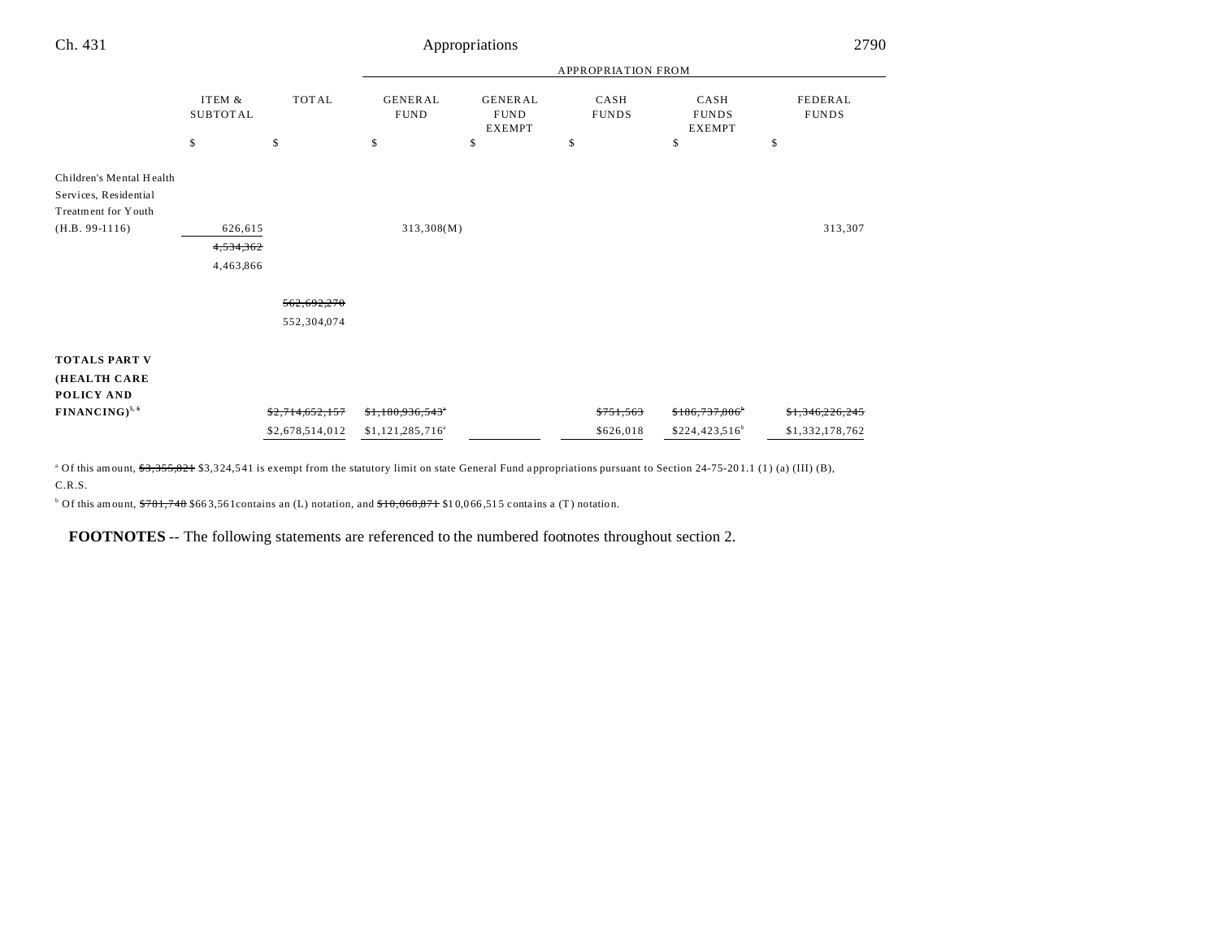| Ch. 431                                                                                      | Appropriations                    |                            |                               |                                                |                      |                                       | 2790                       |  |
|----------------------------------------------------------------------------------------------|-----------------------------------|----------------------------|-------------------------------|------------------------------------------------|----------------------|---------------------------------------|----------------------------|--|
|                                                                                              |                                   |                            | <b>APPROPRIATION FROM</b>     |                                                |                      |                                       |                            |  |
|                                                                                              | ITEM &<br><b>SUBTOTAL</b>         | <b>TOTAL</b>               | <b>GENERAL</b><br><b>FUND</b> | <b>GENERAL</b><br><b>FUND</b><br><b>EXEMPT</b> | CASH<br><b>FUNDS</b> | CASH<br><b>FUNDS</b><br><b>EXEMPT</b> | FEDERAL<br><b>FUNDS</b>    |  |
|                                                                                              | \$                                | \$                         | \$                            | \$                                             | \$                   | \$                                    | \$                         |  |
| Children's Mental Health<br>Services, Residential<br>Treatment for Youth<br>$(H.B. 99-1116)$ | 626,615<br>4,534,362<br>4,463,866 |                            | 313,308(M)                    |                                                |                      |                                       | 313,307                    |  |
|                                                                                              |                                   | 562,692,270<br>552,304,074 |                               |                                                |                      |                                       |                            |  |
| <b>TOTALS PART V</b><br>(HEALTH CARE<br>POLICY AND                                           |                                   |                            |                               |                                                |                      |                                       |                            |  |
| FINANCING) <sup>5, 6</sup>                                                                   |                                   | \$2,714,652,157            | \$1,180,936,543               |                                                | \$751,563            | \$186,737,806                         | <del>\$1,346,226,245</del> |  |
|                                                                                              |                                   | \$2,678,514,012            | \$1,121,285,716 <sup>a</sup>  |                                                | \$626,018            | $$224,423,516^b$                      | \$1,332,178,762            |  |

<sup>a</sup> Of this amount, \$3,355,821 \$3,324,541 is exempt from the statutory limit on state General Fund appropriations pursuant to Section 24-75-201.1 (1) (a) (III) (B), C.R.S.

 $b$  Of this amount,  $$781,748$  \$663,561 contains an (L) notation, and  $$10,066,871$  \$10,066,515 contains a (T) notation.

**FOOTNOTES** -- The following statements are referenced to the numbered footnotes throughout section 2.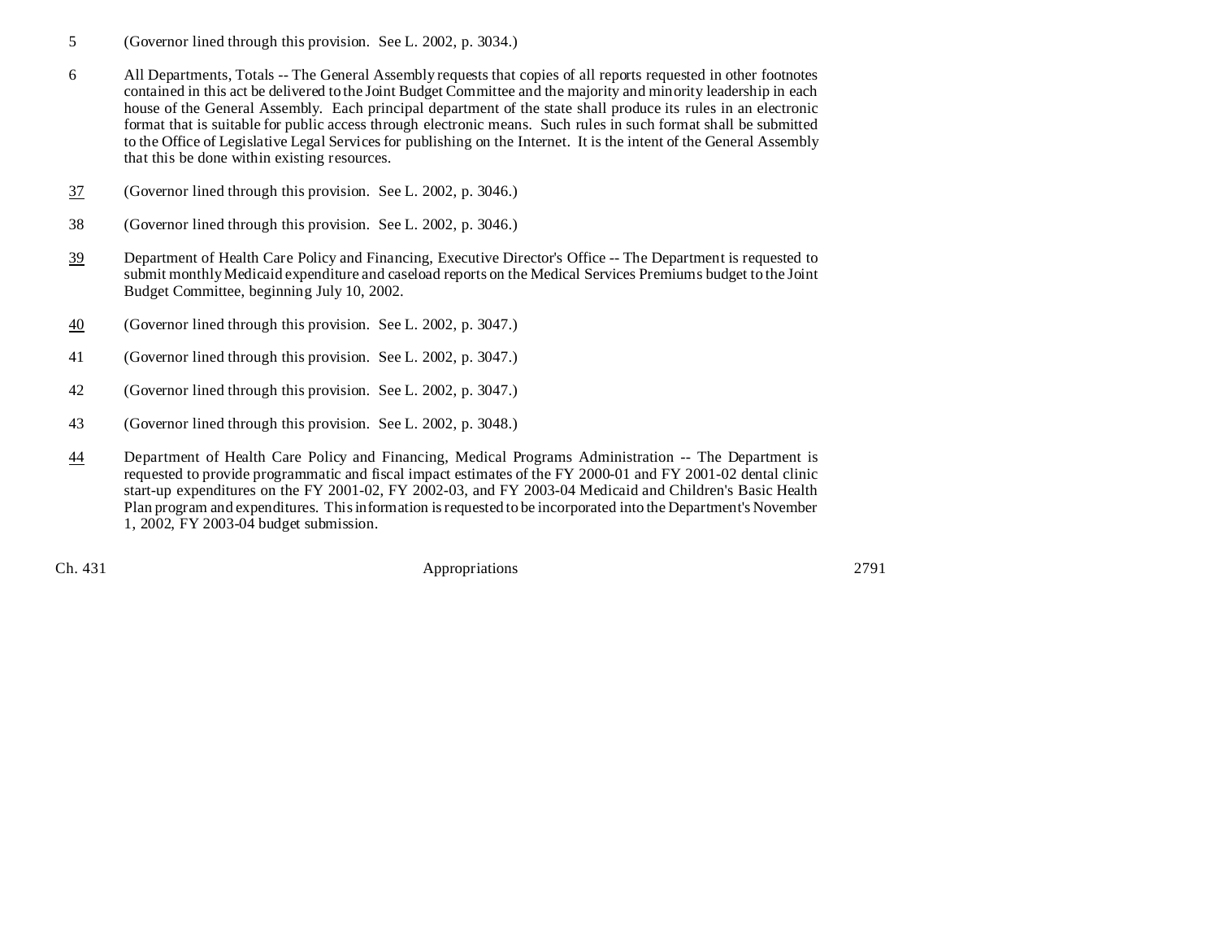- 5 (Governor lined through this provision. See L. 2002, p. 3034.)
- 6 All Departments, Totals -- The General Assembly requests that copies of all reports requested in other footnotes contained in this act be delivered to the Joint Budget Committee and the majority and minority leadership in each house of the General Assembly. Each principal department of the state shall produce its rules in an electronic format that is suitable for public access through electronic means. Such rules in such format shall be submitted to the Office of Legislative Legal Services for publishing on the Internet. It is the intent of the General Assembly that this be done within existing resources.
- 37 (Governor lined through this provision. See L. 2002, p. 3046.)
- 38 (Governor lined through this provision. See L. 2002, p. 3046.)
- 39 Department of Health Care Policy and Financing, Executive Director's Office -- The Department is requested to submit monthly Medicaid expenditure and caseload reports on the Medical Services Premiums budget to the Joint Budget Committee, beginning July 10, 2002.
- 40 (Governor lined through this provision. See L. 2002, p. 3047.)
- 41 (Governor lined through this provision. See L. 2002, p. 3047.)
- 42 (Governor lined through this provision. See L. 2002, p. 3047.)
- 43 (Governor lined through this provision. See L. 2002, p. 3048.)
- 44 Department of Health Care Policy and Financing, Medical Programs Administration -- The Department is requested to provide programmatic and fiscal impact estimates of the FY 2000-01 and FY 2001-02 dental clinic start-up expenditures on the FY 2001-02, FY 2002-03, and FY 2003-04 Medicaid and Children's Basic Health Plan program and expenditures. This information is requested to be incorporated into the Department's November 1, 2002, FY 2003-04 budget submission.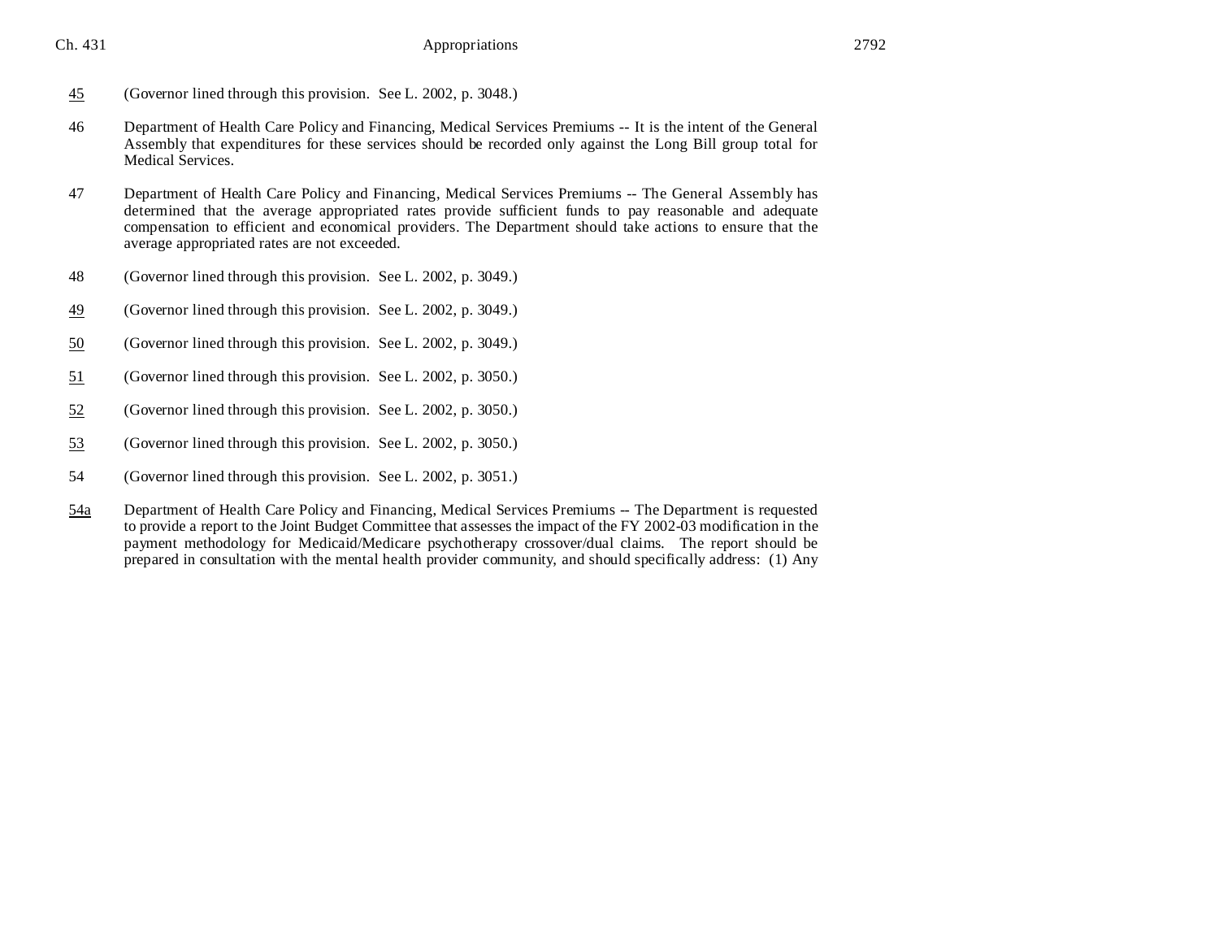- 45 (Governor lined through this provision. See L. 2002, p. 3048.)
- 46 Department of Health Care Policy and Financing, Medical Services Premiums -- It is the intent of the General Assembly that expenditures for these services should be recorded only against the Long Bill group total for Medical Services.
- 47 Department of Health Care Policy and Financing, Medical Services Premiums -- The General Assembly has determined that the average appropriated rates provide sufficient funds to pay reasonable and adequate compensation to efficient and economical providers. The Department should take actions to ensure that the average appropriated rates are not exceeded.
- 48 (Governor lined through this provision. See L. 2002, p. 3049.)
- 49 (Governor lined through this provision. See L. 2002, p. 3049.)
- 50 (Governor lined through this provision. See L. 2002, p. 3049.)
- 51 (Governor lined through this provision. See L. 2002, p. 3050.)
- 52 (Governor lined through this provision. See L. 2002, p. 3050.)
- 53 (Governor lined through this provision. See L. 2002, p. 3050.)
- 54 (Governor lined through this provision. See L. 2002, p. 3051.)
- 54a Department of Health Care Policy and Financing, Medical Services Premiums -- The Department is requested to provide a report to the Joint Budget Committee that assesses the impact of the FY 2002-03 modification in the payment methodology for Medicaid/Medicare psychotherapy crossover/dual claims. The report should be prepared in consultation with the mental health provider community, and should specifically address: (1) Any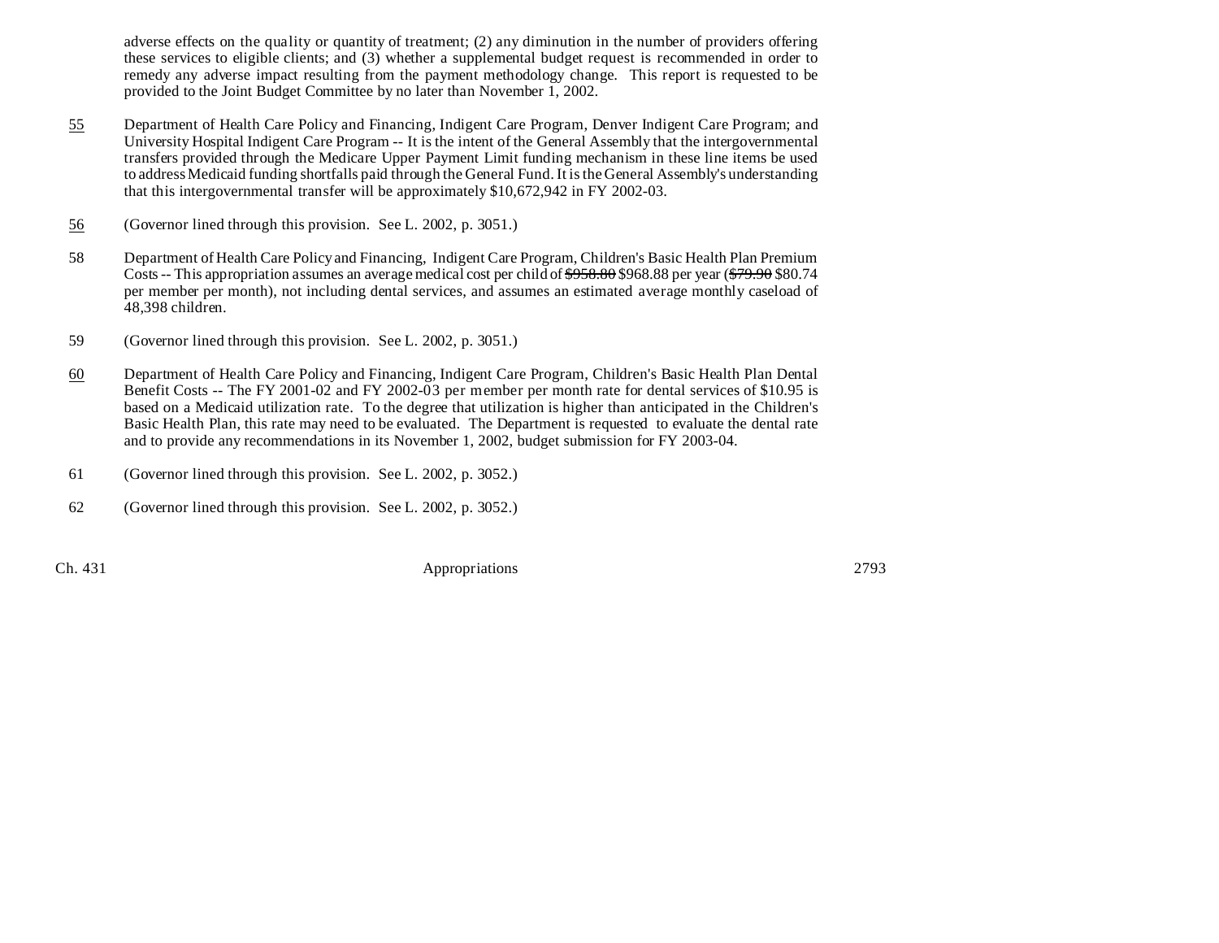adverse effects on the quality or quantity of treatment; (2) any diminution in the number of providers offering these services to eligible clients; and (3) whether a supplemental budget request is recommended in order to remedy any adverse impact resulting from the payment methodology change. This report is requested to be provided to the Joint Budget Committee by no later than November 1, 2002.

- 55 Department of Health Care Policy and Financing, Indigent Care Program, Denver Indigent Care Program; and University Hospital Indigent Care Program -- It is the intent of the General Assembly that the intergovernmental transfers provided through the Medicare Upper Payment Limit funding mechanism in these line items be used to address Medicaid funding shortfalls paid through the General Fund. It is the General Assembly's understanding that this intergovernmental transfer will be approximately \$10,672,942 in FY 2002-03.
- 56 (Governor lined through this provision. See L. 2002, p. 3051.)
- 58 Department of Health Care Policy and Financing, Indigent Care Program, Children's Basic Health Plan Premium Costs -- This appropriation assumes an average medical cost per child of  $\frac{$958.80}{968.88}$  \$968.88 per year ( $\frac{$79.90}{740.88}$  \$80.74 per member per month), not including dental services, and assumes an estimated average monthly caseload of 48,398 children.
- 59 (Governor lined through this provision. See L. 2002, p. 3051.)
- 60 Department of Health Care Policy and Financing, Indigent Care Program, Children's Basic Health Plan Dental Benefit Costs -- The FY 2001-02 and FY 2002-03 per member per month rate for dental services of \$10.95 is based on a Medicaid utilization rate. To the degree that utilization is higher than anticipated in the Children's Basic Health Plan, this rate may need to be evaluated. The Department is requested to evaluate the dental rate and to provide any recommendations in its November 1, 2002, budget submission for FY 2003-04.
- 61 (Governor lined through this provision. See L. 2002, p. 3052.)
- 62 (Governor lined through this provision. See L. 2002, p. 3052.)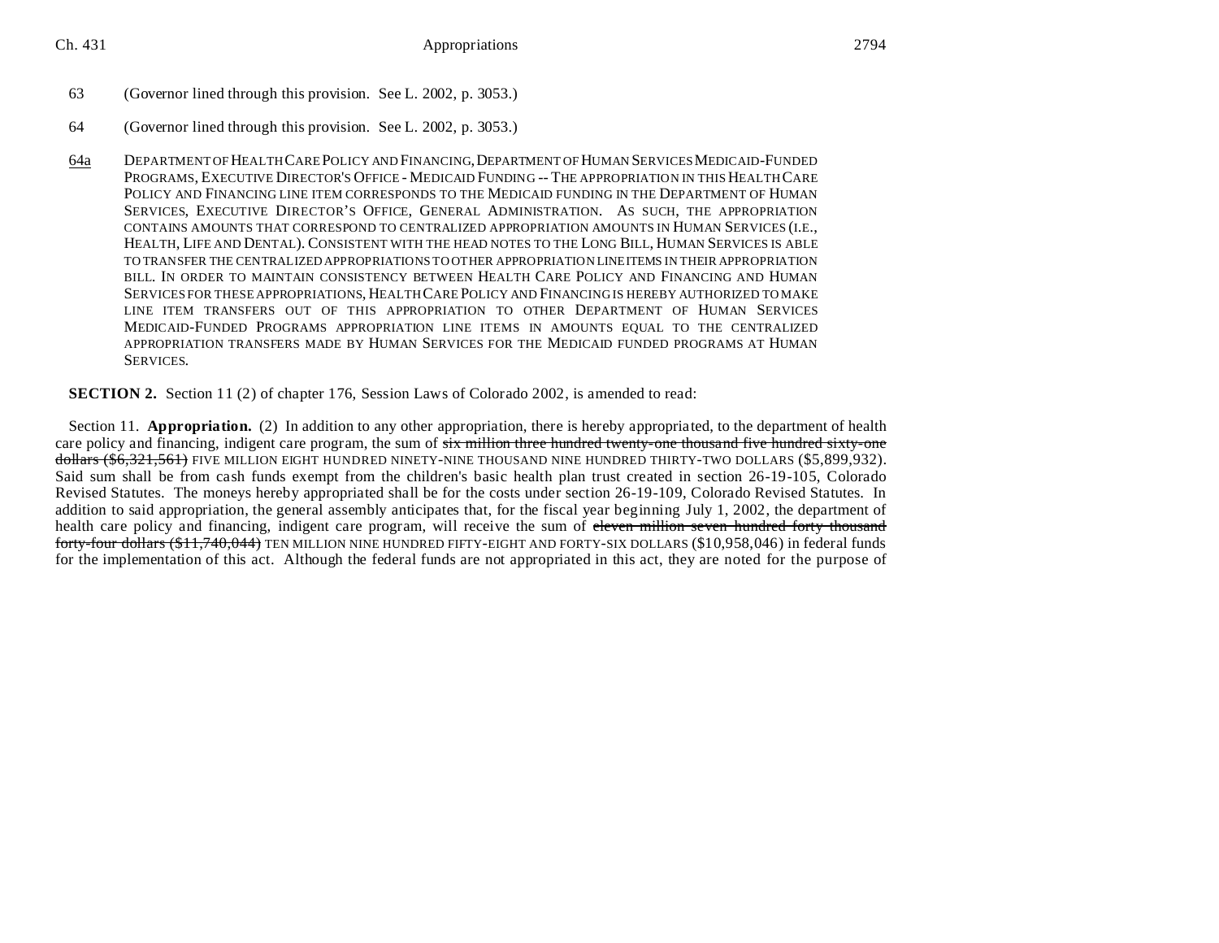## 63 (Governor lined through this provision. See L. 2002, p. 3053.)

- 64 (Governor lined through this provision. See L. 2002, p. 3053.)
- 64a DEPARTMENT OF HEALTH CARE POLICY AND FINANCING,DEPARTMENT OF HUMAN SERVICES MEDICAID-FUNDED PROGRAMS, EXECUTIVE DIRECTOR'S OFFICE - MEDICAID FUNDING -- THE APPROPRIATION IN THIS HEALTH CARE POLICY AND FINANCING LINE ITEM CORRESPONDS TO THE MEDICAID FUNDING IN THE DEPARTMENT OF HUMAN SERVICES, EXECUTIVE DIRECTOR'S OFFICE, GENERAL ADMINISTRATION. AS SUCH, THE APPROPRIATION CONTAINS AMOUNTS THAT CORRESPOND TO CENTRALIZED APPROPRIATION AMOUNTS IN HUMAN SERVICES (I.E., HEALTH, LIFE AND DENTAL). CONSISTENT WITH THE HEAD NOTES TO THE LONG BILL, HUMAN SERVICES IS ABLE TO TRANSFER THE CENTRALIZED APPROPRIATIONS TO OTHER APPROPRIATION LINEITEMS IN THEIR APPROPRIATION BILL. IN ORDER TO MAINTAIN CONSISTENCY BETWEEN HEALTH CARE POLICY AND FINANCING AND HUMAN SERVICES FOR THESE APPROPRIATIONS, HEALTH CARE POLICY AND FINANCING IS HEREBY AUTHORIZED TO MAKE LINE ITEM TRANSFERS OUT OF THIS APPROPRIATION TO OTHER DEPARTMENT OF HUMAN SERVICES MEDICAID-FUNDED PROGRAMS APPROPRIATION LINE ITEMS IN AMOUNTS EQUAL TO THE CENTRALIZED APPROPRIATION TRANSFERS MADE BY HUMAN SERVICES FOR THE MEDICAID FUNDED PROGRAMS AT HUMAN SERVICES.

**SECTION 2.** Section 11 (2) of chapter 176, Session Laws of Colorado 2002, is amended to read:

Section 11. **Appropriation.** (2) In addition to any other appropriation, there is hereby appropriated, to the department of health care policy and financing, indigent care program, the sum of  $\frac{1}{100}$  six million three hundred twenty-one thousand five hundred sixty-one dollars (\$6,321,561) FIVE MILLION EIGHT HUNDRED NINETY-NINE THOUSAND NINE HUNDRED THIRTY-TWO DOLLARS (\$5,899,932). Said sum shall be from cash funds exempt from the children's basic health plan trust created in section 26-19-105, Colorado Revised Statutes. The moneys hereby appropriated shall be for the costs under section 26-19-109, Colorado Revised Statutes. In addition to said appropriation, the general assembly anticipates that, for the fiscal year beginning July 1, 2002, the department of health care policy and financing, indigent care program, will receive the sum of eleven million seven hundred forty thousand forty-four dollars (\$11,740,044) TEN MILLION NINE HUNDRED FIFTY-EIGHT AND FORTY-SIX DOLLARS (\$10,958,046) in federal funds for the implementation of this act. Although the federal funds are not appropriated in this act, they are noted for the purpose of